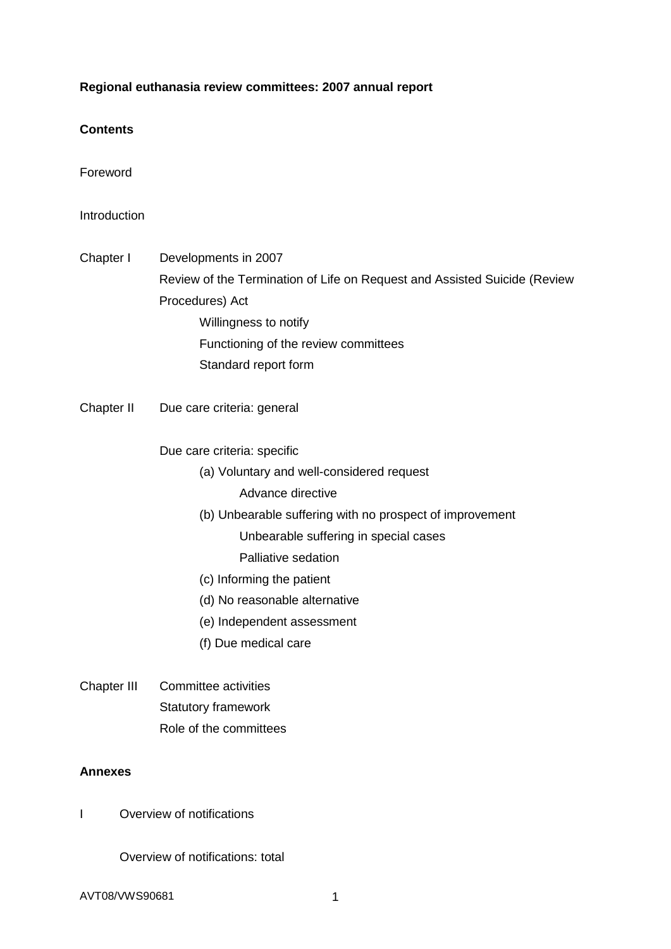## **Regional euthanasia review committees: 2007 annual report**

## **Contents**

Foreword

## **Introduction**

- Chapter I Developments in 2007 Review of the Termination of Life on Request and Assisted Suicide (Review Procedures) Act Willingness to notify Functioning of the review committees
- Chapter II Due care criteria: general

Due care criteria: specific

Standard report form

- (a) Voluntary and well-considered request
	- Advance directive
- (b) Unbearable suffering with no prospect of improvement

Unbearable suffering in special cases

Palliative sedation

- (c) Informing the patient
- (d) No reasonable alternative
- (e) Independent assessment
- (f) Due medical care
- Chapter III Committee activities Statutory framework Role of the committees

## **Annexes**

I Overview of notifications

Overview of notifications: total

AVT08/VWS90681 1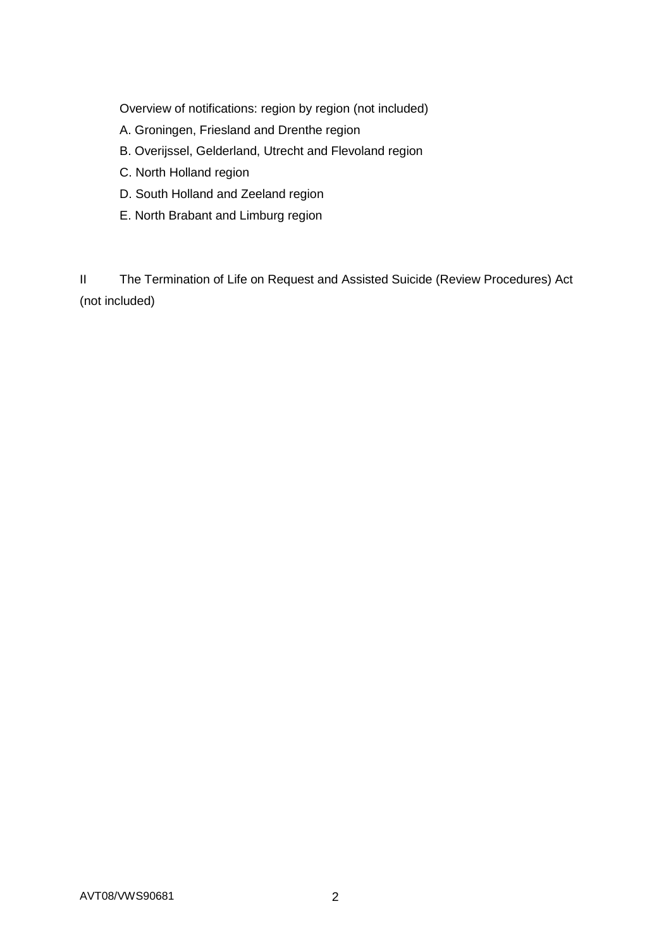Overview of notifications: region by region (not included)

- A. Groningen, Friesland and Drenthe region
- B. Overijssel, Gelderland, Utrecht and Flevoland region
- C. North Holland region
- D. South Holland and Zeeland region
- E. North Brabant and Limburg region

II The Termination of Life on Request and Assisted Suicide (Review Procedures) Act (not included)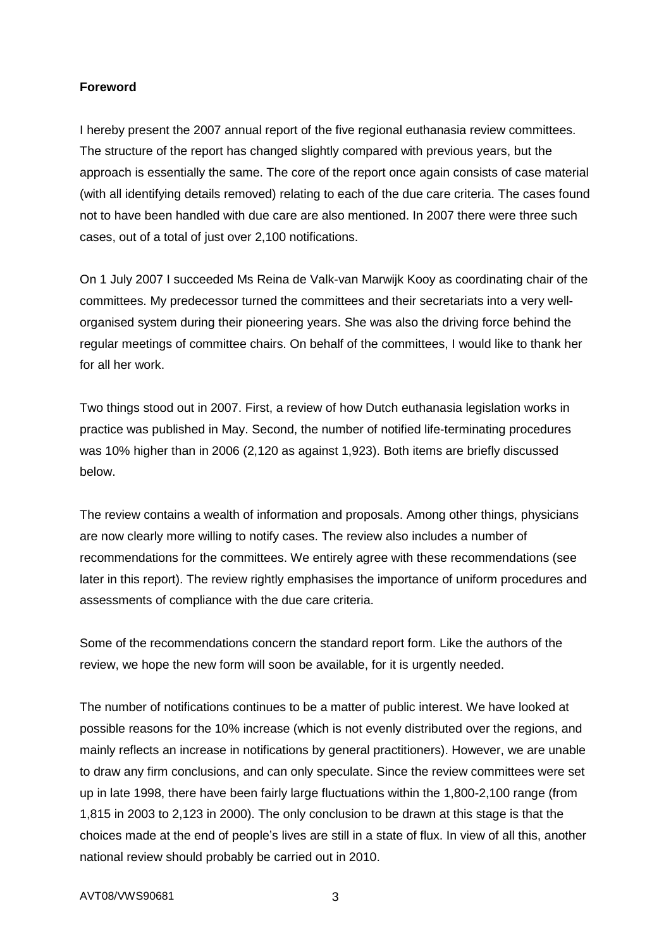## **Foreword**

I hereby present the 2007 annual report of the five regional euthanasia review committees. The structure of the report has changed slightly compared with previous years, but the approach is essentially the same. The core of the report once again consists of case material (with all identifying details removed) relating to each of the due care criteria. The cases found not to have been handled with due care are also mentioned. In 2007 there were three such cases, out of a total of just over 2,100 notifications.

On 1 July 2007 I succeeded Ms Reina de Valk-van Marwijk Kooy as coordinating chair of the committees. My predecessor turned the committees and their secretariats into a very wellorganised system during their pioneering years. She was also the driving force behind the regular meetings of committee chairs. On behalf of the committees, I would like to thank her for all her work.

Two things stood out in 2007. First, a review of how Dutch euthanasia legislation works in practice was published in May. Second, the number of notified life-terminating procedures was 10% higher than in 2006 (2,120 as against 1,923). Both items are briefly discussed below.

The review contains a wealth of information and proposals. Among other things, physicians are now clearly more willing to notify cases. The review also includes a number of recommendations for the committees. We entirely agree with these recommendations (see later in this report). The review rightly emphasises the importance of uniform procedures and assessments of compliance with the due care criteria.

Some of the recommendations concern the standard report form. Like the authors of the review, we hope the new form will soon be available, for it is urgently needed.

The number of notifications continues to be a matter of public interest. We have looked at possible reasons for the 10% increase (which is not evenly distributed over the regions, and mainly reflects an increase in notifications by general practitioners). However, we are unable to draw any firm conclusions, and can only speculate. Since the review committees were set up in late 1998, there have been fairly large fluctuations within the 1,800-2,100 range (from 1,815 in 2003 to 2,123 in 2000). The only conclusion to be drawn at this stage is that the choices made at the end of people's lives are still in a state of flux. In view of all this, another national review should probably be carried out in 2010.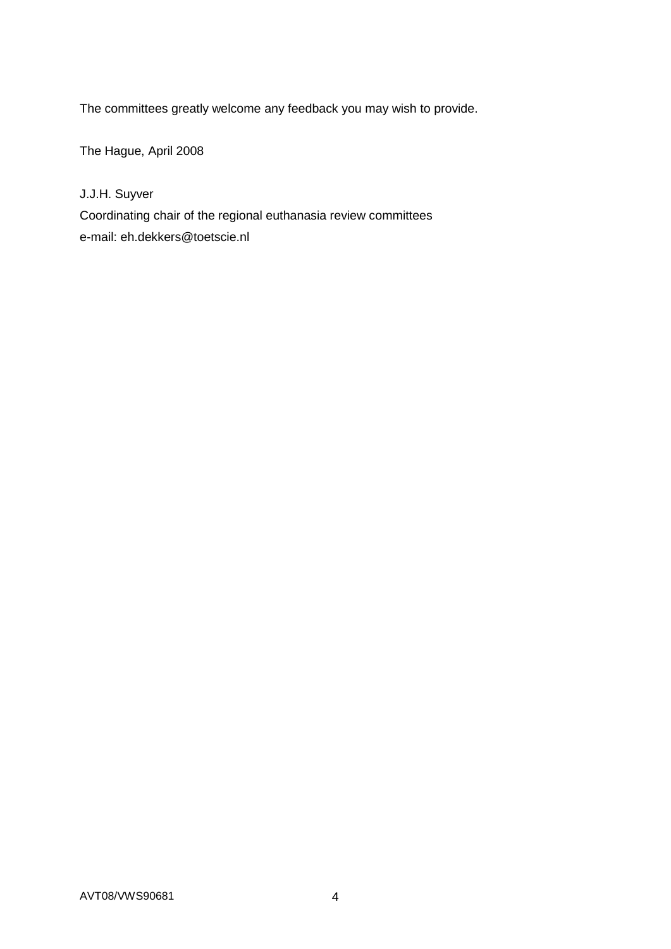The committees greatly welcome any feedback you may wish to provide.

The Hague, April 2008

J.J.H. Suyver

Coordinating chair of the regional euthanasia review committees e-mail: eh.dekkers@toetscie.nl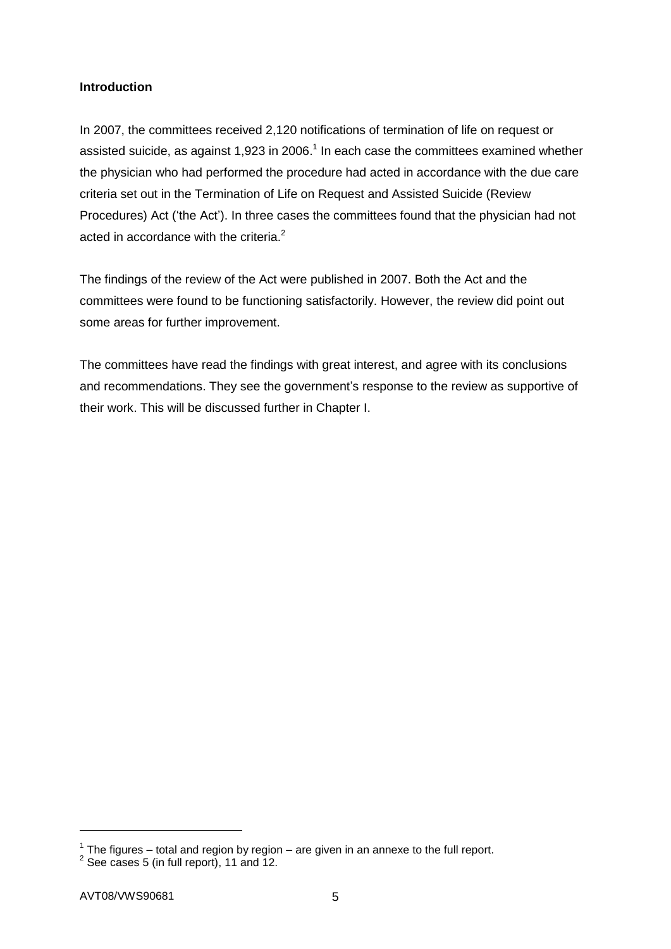## **Introduction**

In 2007, the committees received 2,120 notifications of termination of life on request or assisted suicide, as against 1,923 in 2006.<sup>1</sup> In each case the committees examined whether the physician who had performed the procedure had acted in accordance with the due care criteria set out in the Termination of Life on Request and Assisted Suicide (Review Procedures) Act ('the Act'). In three cases the committees found that the physician had not acted in accordance with the criteria.<sup>2</sup>

The findings of the review of the Act were published in 2007. Both the Act and the committees were found to be functioning satisfactorily. However, the review did point out some areas for further improvement.

The committees have read the findings with great interest, and agree with its conclusions and recommendations. They see the government's response to the review as supportive of their work. This will be discussed further in Chapter I.

-

 $1$  The figures – total and region by region – are given in an annexe to the full report.

 $2$  See cases 5 (in full report), 11 and 12.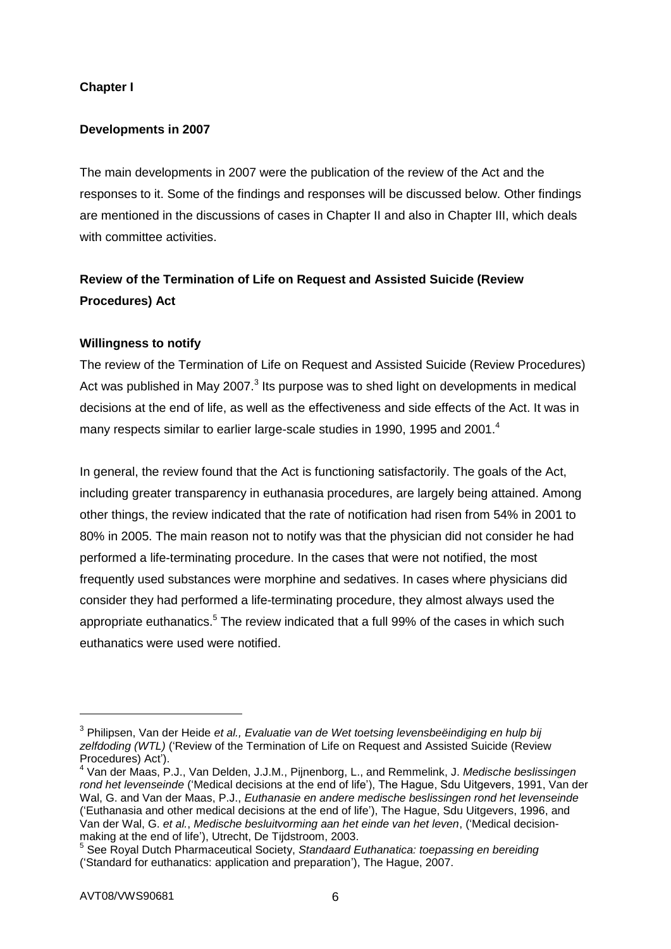## **Chapter I**

## **Developments in 2007**

The main developments in 2007 were the publication of the review of the Act and the responses to it. Some of the findings and responses will be discussed below. Other findings are mentioned in the discussions of cases in Chapter II and also in Chapter III, which deals with committee activities.

## **Review of the Termination of Life on Request and Assisted Suicide (Review Procedures) Act**

## **Willingness to notify**

The review of the Termination of Life on Request and Assisted Suicide (Review Procedures) Act was published in May 2007. $3$  Its purpose was to shed light on developments in medical decisions at the end of life, as well as the effectiveness and side effects of the Act. It was in many respects similar to earlier large-scale studies in 1990, 1995 and 2001.<sup>4</sup>

In general, the review found that the Act is functioning satisfactorily. The goals of the Act, including greater transparency in euthanasia procedures, are largely being attained. Among other things, the review indicated that the rate of notification had risen from 54% in 2001 to 80% in 2005. The main reason not to notify was that the physician did not consider he had performed a life-terminating procedure. In the cases that were not notified, the most frequently used substances were morphine and sedatives. In cases where physicians did consider they had performed a life-terminating procedure, they almost always used the appropriate euthanatics.<sup>5</sup> The review indicated that a full 99% of the cases in which such euthanatics were used were notified.

1

<sup>3</sup> Philipsen, Van der Heide *et al., Evaluatie van de Wet toetsing levensbeëindiging en hulp bij zelfdoding (WTL)* ('Review of the Termination of Life on Request and Assisted Suicide (Review Procedures) Act').

<sup>4</sup> Van der Maas, P.J., Van Delden, J.J.M., Pijnenborg, L., and Remmelink, J. *Medische beslissingen rond het levenseinde* ('Medical decisions at the end of life'), The Hague, Sdu Uitgevers, 1991, Van der Wal, G. and Van der Maas, P.J., *Euthanasie en andere medische beslissingen rond het levenseinde* ('Euthanasia and other medical decisions at the end of life'), The Hague, Sdu Uitgevers, 1996, and Van der Wal, G. *et al.*, *Medische besluitvorming aan het einde van het leven*, ('Medical decisionmaking at the end of life'), Utrecht, De Tijdstroom, 2003.

<sup>5</sup> See Royal Dutch Pharmaceutical Society, *Standaard Euthanatica: toepassing en bereiding* ('Standard for euthanatics: application and preparation'), The Hague, 2007.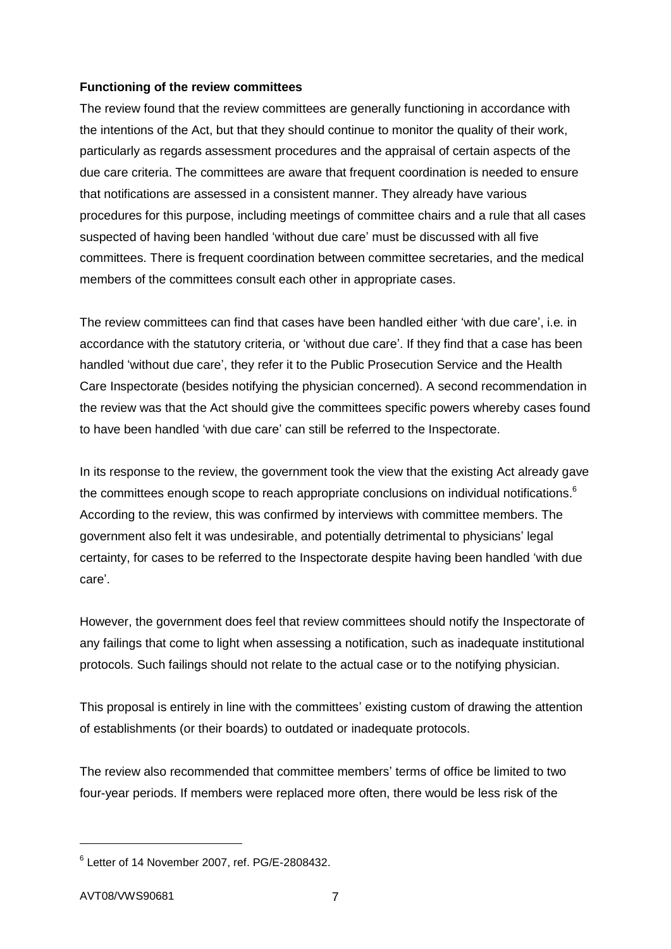#### **Functioning of the review committees**

The review found that the review committees are generally functioning in accordance with the intentions of the Act, but that they should continue to monitor the quality of their work, particularly as regards assessment procedures and the appraisal of certain aspects of the due care criteria. The committees are aware that frequent coordination is needed to ensure that notifications are assessed in a consistent manner. They already have various procedures for this purpose, including meetings of committee chairs and a rule that all cases suspected of having been handled 'without due care' must be discussed with all five committees. There is frequent coordination between committee secretaries, and the medical members of the committees consult each other in appropriate cases.

The review committees can find that cases have been handled either 'with due care', i.e. in accordance with the statutory criteria, or 'without due care'. If they find that a case has been handled 'without due care', they refer it to the Public Prosecution Service and the Health Care Inspectorate (besides notifying the physician concerned). A second recommendation in the review was that the Act should give the committees specific powers whereby cases found to have been handled 'with due care' can still be referred to the Inspectorate.

In its response to the review, the government took the view that the existing Act already gave the committees enough scope to reach appropriate conclusions on individual notifications.<sup>6</sup> According to the review, this was confirmed by interviews with committee members. The government also felt it was undesirable, and potentially detrimental to physicians' legal certainty, for cases to be referred to the Inspectorate despite having been handled 'with due care'.

However, the government does feel that review committees should notify the Inspectorate of any failings that come to light when assessing a notification, such as inadequate institutional protocols. Such failings should not relate to the actual case or to the notifying physician.

This proposal is entirely in line with the committees' existing custom of drawing the attention of establishments (or their boards) to outdated or inadequate protocols.

The review also recommended that committee members' terms of office be limited to two four-year periods. If members were replaced more often, there would be less risk of the

1

 $6$  Letter of 14 November 2007, ref. PG/E-2808432.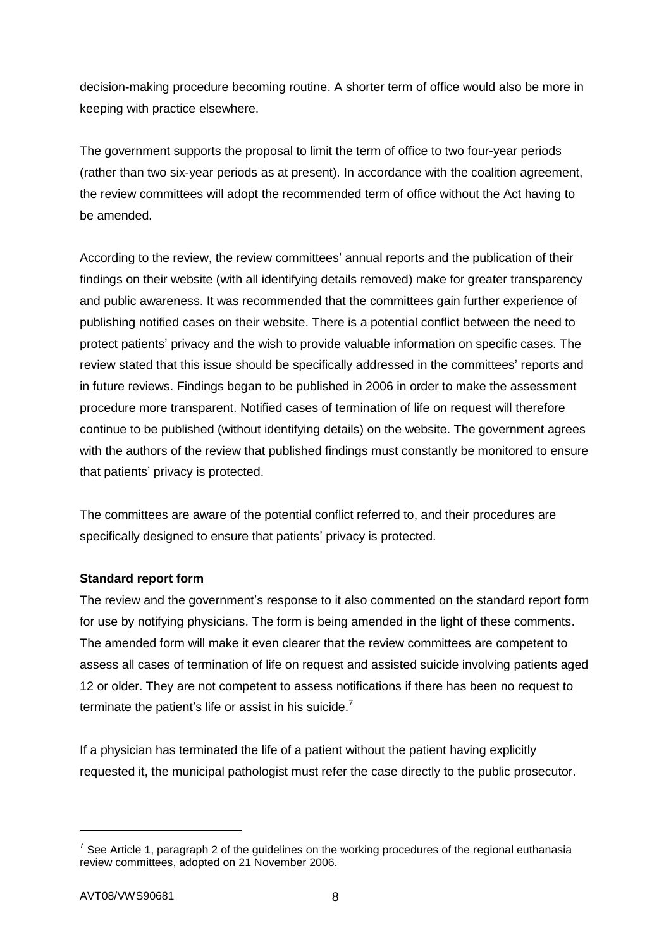decision-making procedure becoming routine. A shorter term of office would also be more in keeping with practice elsewhere.

The government supports the proposal to limit the term of office to two four-year periods (rather than two six-year periods as at present). In accordance with the coalition agreement, the review committees will adopt the recommended term of office without the Act having to be amended.

According to the review, the review committees' annual reports and the publication of their findings on their website (with all identifying details removed) make for greater transparency and public awareness. It was recommended that the committees gain further experience of publishing notified cases on their website. There is a potential conflict between the need to protect patients' privacy and the wish to provide valuable information on specific cases. The review stated that this issue should be specifically addressed in the committees' reports and in future reviews. Findings began to be published in 2006 in order to make the assessment procedure more transparent. Notified cases of termination of life on request will therefore continue to be published (without identifying details) on the website. The government agrees with the authors of the review that published findings must constantly be monitored to ensure that patients' privacy is protected.

The committees are aware of the potential conflict referred to, and their procedures are specifically designed to ensure that patients' privacy is protected.

#### **Standard report form**

The review and the government's response to it also commented on the standard report form for use by notifying physicians. The form is being amended in the light of these comments. The amended form will make it even clearer that the review committees are competent to assess all cases of termination of life on request and assisted suicide involving patients aged 12 or older. They are not competent to assess notifications if there has been no request to terminate the patient's life or assist in his suicide.<sup>7</sup>

If a physician has terminated the life of a patient without the patient having explicitly requested it, the municipal pathologist must refer the case directly to the public prosecutor.

-

<sup>&</sup>lt;sup>7</sup> See Article 1, paragraph 2 of the guidelines on the working procedures of the regional euthanasia review committees, adopted on 21 November 2006.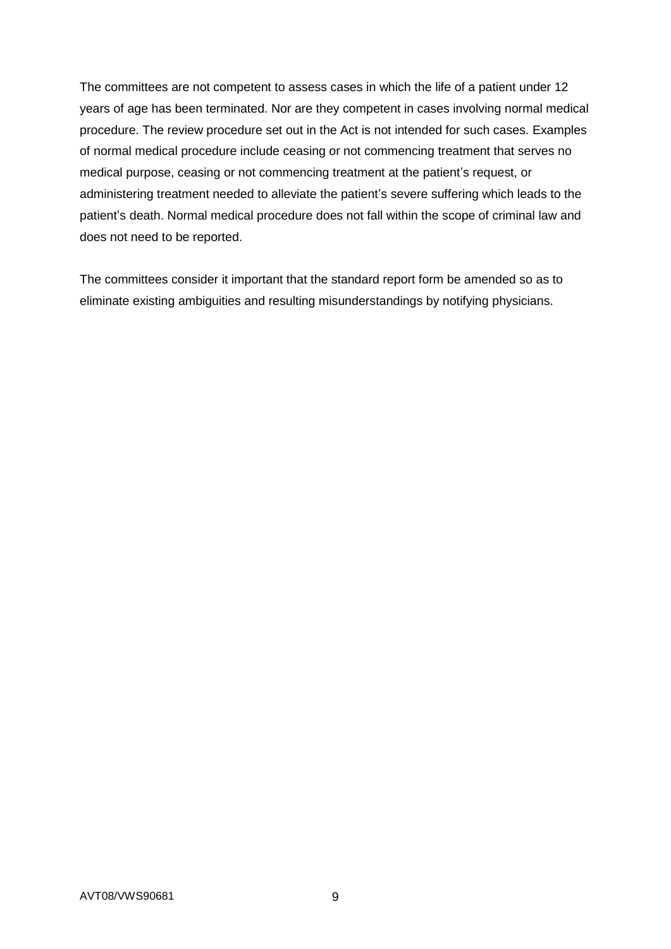The committees are not competent to assess cases in which the life of a patient under 12 years of age has been terminated. Nor are they competent in cases involving normal medical procedure. The review procedure set out in the Act is not intended for such cases. Examples of normal medical procedure include ceasing or not commencing treatment that serves no medical purpose, ceasing or not commencing treatment at the patient's request, or administering treatment needed to alleviate the patient's severe suffering which leads to the patient's death. Normal medical procedure does not fall within the scope of criminal law and does not need to be reported.

The committees consider it important that the standard report form be amended so as to eliminate existing ambiguities and resulting misunderstandings by notifying physicians.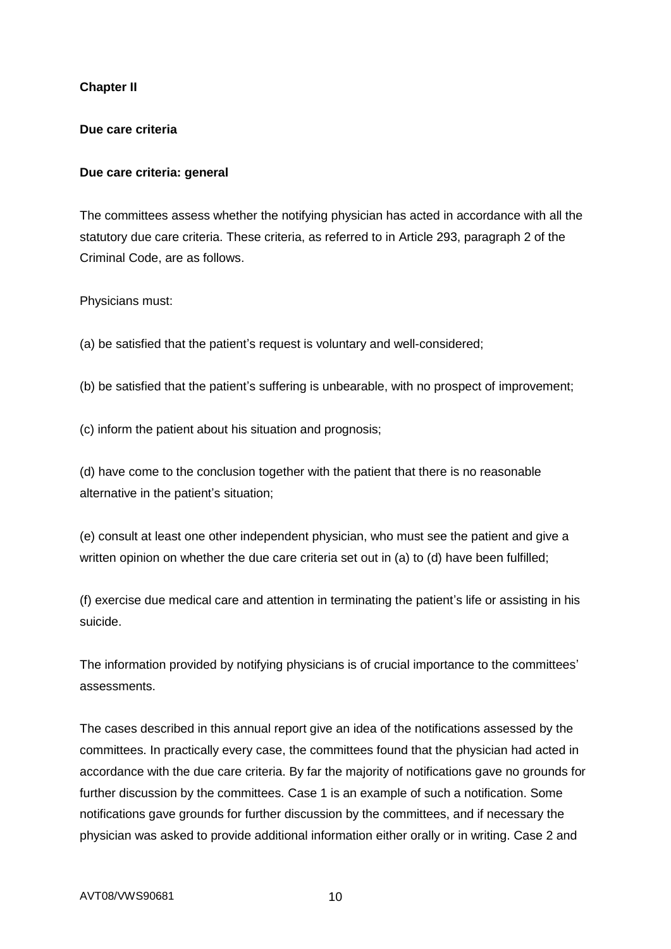## **Chapter II**

#### **Due care criteria**

#### **Due care criteria: general**

The committees assess whether the notifying physician has acted in accordance with all the statutory due care criteria. These criteria, as referred to in Article 293, paragraph 2 of the Criminal Code, are as follows.

Physicians must:

(a) be satisfied that the patient's request is voluntary and well-considered;

(b) be satisfied that the patient's suffering is unbearable, with no prospect of improvement;

(c) inform the patient about his situation and prognosis;

(d) have come to the conclusion together with the patient that there is no reasonable alternative in the patient's situation;

(e) consult at least one other independent physician, who must see the patient and give a written opinion on whether the due care criteria set out in (a) to (d) have been fulfilled;

(f) exercise due medical care and attention in terminating the patient's life or assisting in his suicide.

The information provided by notifying physicians is of crucial importance to the committees' assessments.

The cases described in this annual report give an idea of the notifications assessed by the committees. In practically every case, the committees found that the physician had acted in accordance with the due care criteria. By far the majority of notifications gave no grounds for further discussion by the committees. Case 1 is an example of such a notification. Some notifications gave grounds for further discussion by the committees, and if necessary the physician was asked to provide additional information either orally or in writing. Case 2 and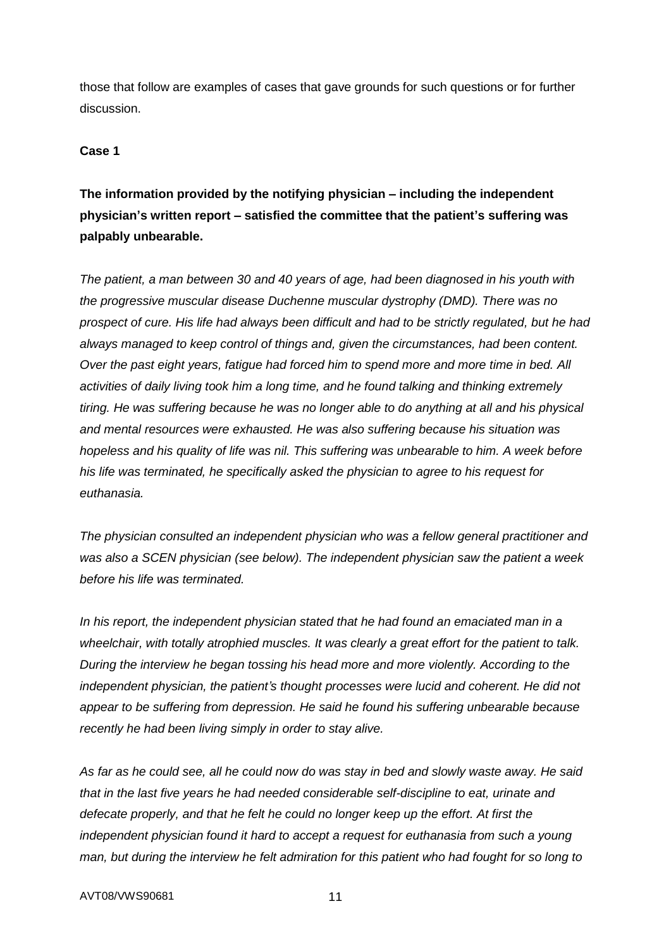those that follow are examples of cases that gave grounds for such questions or for further discussion.

## **Case 1**

# **The information provided by the notifying physician – including the independent physician's written report – satisfied the committee that the patient's suffering was palpably unbearable.**

*The patient, a man between 30 and 40 years of age, had been diagnosed in his youth with the progressive muscular disease Duchenne muscular dystrophy (DMD). There was no prospect of cure. His life had always been difficult and had to be strictly regulated, but he had always managed to keep control of things and, given the circumstances, had been content. Over the past eight years, fatigue had forced him to spend more and more time in bed. All activities of daily living took him a long time, and he found talking and thinking extremely tiring. He was suffering because he was no longer able to do anything at all and his physical and mental resources were exhausted. He was also suffering because his situation was hopeless and his quality of life was nil. This suffering was unbearable to him. A week before his life was terminated, he specifically asked the physician to agree to his request for euthanasia.*

*The physician consulted an independent physician who was a fellow general practitioner and was also a SCEN physician (see below). The independent physician saw the patient a week before his life was terminated.*

*In his report, the independent physician stated that he had found an emaciated man in a wheelchair, with totally atrophied muscles. It was clearly a great effort for the patient to talk. During the interview he began tossing his head more and more violently. According to the independent physician, the patient's thought processes were lucid and coherent. He did not appear to be suffering from depression. He said he found his suffering unbearable because recently he had been living simply in order to stay alive.*

*As far as he could see, all he could now do was stay in bed and slowly waste away. He said that in the last five years he had needed considerable self-discipline to eat, urinate and defecate properly, and that he felt he could no longer keep up the effort. At first the independent physician found it hard to accept a request for euthanasia from such a young man, but during the interview he felt admiration for this patient who had fought for so long to*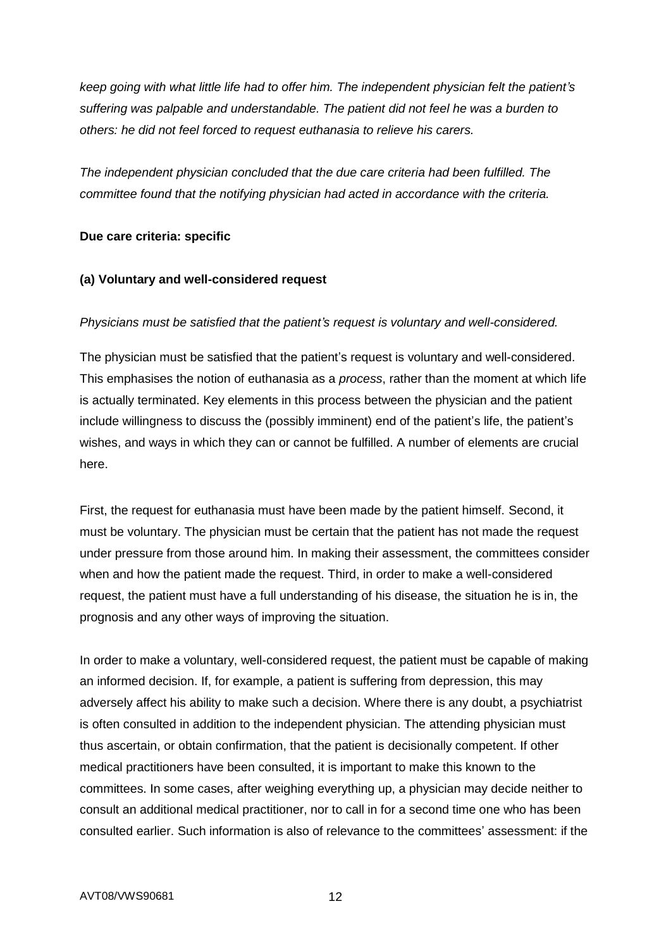*keep going with what little life had to offer him. The independent physician felt the patient's suffering was palpable and understandable. The patient did not feel he was a burden to others: he did not feel forced to request euthanasia to relieve his carers.*

*The independent physician concluded that the due care criteria had been fulfilled. The committee found that the notifying physician had acted in accordance with the criteria.*

### **Due care criteria: specific**

## **(a) Voluntary and well-considered request**

## *Physicians must be satisfied that the patient's request is voluntary and well-considered.*

The physician must be satisfied that the patient's request is voluntary and well-considered. This emphasises the notion of euthanasia as a *process*, rather than the moment at which life is actually terminated. Key elements in this process between the physician and the patient include willingness to discuss the (possibly imminent) end of the patient's life, the patient's wishes, and ways in which they can or cannot be fulfilled. A number of elements are crucial here.

First, the request for euthanasia must have been made by the patient himself. Second, it must be voluntary. The physician must be certain that the patient has not made the request under pressure from those around him. In making their assessment, the committees consider when and how the patient made the request. Third, in order to make a well-considered request, the patient must have a full understanding of his disease, the situation he is in, the prognosis and any other ways of improving the situation.

In order to make a voluntary, well-considered request, the patient must be capable of making an informed decision. If, for example, a patient is suffering from depression, this may adversely affect his ability to make such a decision. Where there is any doubt, a psychiatrist is often consulted in addition to the independent physician. The attending physician must thus ascertain, or obtain confirmation, that the patient is decisionally competent. If other medical practitioners have been consulted, it is important to make this known to the committees. In some cases, after weighing everything up, a physician may decide neither to consult an additional medical practitioner, nor to call in for a second time one who has been consulted earlier. Such information is also of relevance to the committees' assessment: if the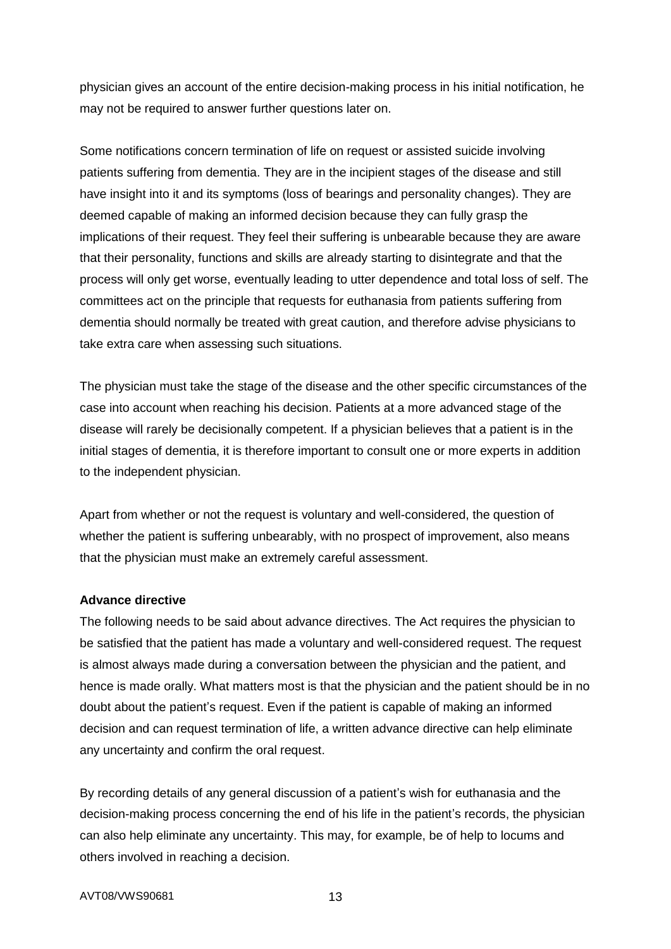physician gives an account of the entire decision-making process in his initial notification, he may not be required to answer further questions later on.

Some notifications concern termination of life on request or assisted suicide involving patients suffering from dementia. They are in the incipient stages of the disease and still have insight into it and its symptoms (loss of bearings and personality changes). They are deemed capable of making an informed decision because they can fully grasp the implications of their request. They feel their suffering is unbearable because they are aware that their personality, functions and skills are already starting to disintegrate and that the process will only get worse, eventually leading to utter dependence and total loss of self. The committees act on the principle that requests for euthanasia from patients suffering from dementia should normally be treated with great caution, and therefore advise physicians to take extra care when assessing such situations.

The physician must take the stage of the disease and the other specific circumstances of the case into account when reaching his decision. Patients at a more advanced stage of the disease will rarely be decisionally competent. If a physician believes that a patient is in the initial stages of dementia, it is therefore important to consult one or more experts in addition to the independent physician.

Apart from whether or not the request is voluntary and well-considered, the question of whether the patient is suffering unbearably, with no prospect of improvement, also means that the physician must make an extremely careful assessment.

#### **Advance directive**

The following needs to be said about advance directives. The Act requires the physician to be satisfied that the patient has made a voluntary and well-considered request. The request is almost always made during a conversation between the physician and the patient, and hence is made orally. What matters most is that the physician and the patient should be in no doubt about the patient's request. Even if the patient is capable of making an informed decision and can request termination of life, a written advance directive can help eliminate any uncertainty and confirm the oral request.

By recording details of any general discussion of a patient's wish for euthanasia and the decision-making process concerning the end of his life in the patient's records, the physician can also help eliminate any uncertainty. This may, for example, be of help to locums and others involved in reaching a decision.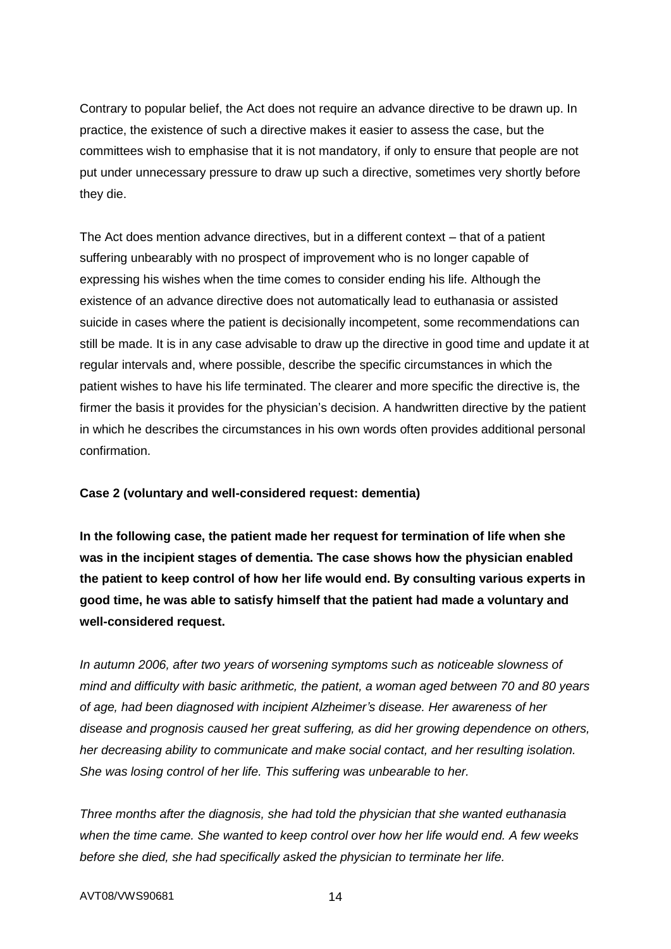Contrary to popular belief, the Act does not require an advance directive to be drawn up. In practice, the existence of such a directive makes it easier to assess the case, but the committees wish to emphasise that it is not mandatory, if only to ensure that people are not put under unnecessary pressure to draw up such a directive, sometimes very shortly before they die.

The Act does mention advance directives, but in a different context – that of a patient suffering unbearably with no prospect of improvement who is no longer capable of expressing his wishes when the time comes to consider ending his life. Although the existence of an advance directive does not automatically lead to euthanasia or assisted suicide in cases where the patient is decisionally incompetent, some recommendations can still be made. It is in any case advisable to draw up the directive in good time and update it at regular intervals and, where possible, describe the specific circumstances in which the patient wishes to have his life terminated. The clearer and more specific the directive is, the firmer the basis it provides for the physician's decision. A handwritten directive by the patient in which he describes the circumstances in his own words often provides additional personal confirmation.

#### **Case 2 (voluntary and well-considered request: dementia)**

**In the following case, the patient made her request for termination of life when she was in the incipient stages of dementia. The case shows how the physician enabled the patient to keep control of how her life would end. By consulting various experts in good time, he was able to satisfy himself that the patient had made a voluntary and well-considered request.**

*In autumn 2006, after two years of worsening symptoms such as noticeable slowness of mind and difficulty with basic arithmetic, the patient, a woman aged between 70 and 80 years of age, had been diagnosed with incipient Alzheimer's disease. Her awareness of her disease and prognosis caused her great suffering, as did her growing dependence on others, her decreasing ability to communicate and make social contact, and her resulting isolation. She was losing control of her life. This suffering was unbearable to her.*

*Three months after the diagnosis, she had told the physician that she wanted euthanasia when the time came. She wanted to keep control over how her life would end. A few weeks before she died, she had specifically asked the physician to terminate her life.*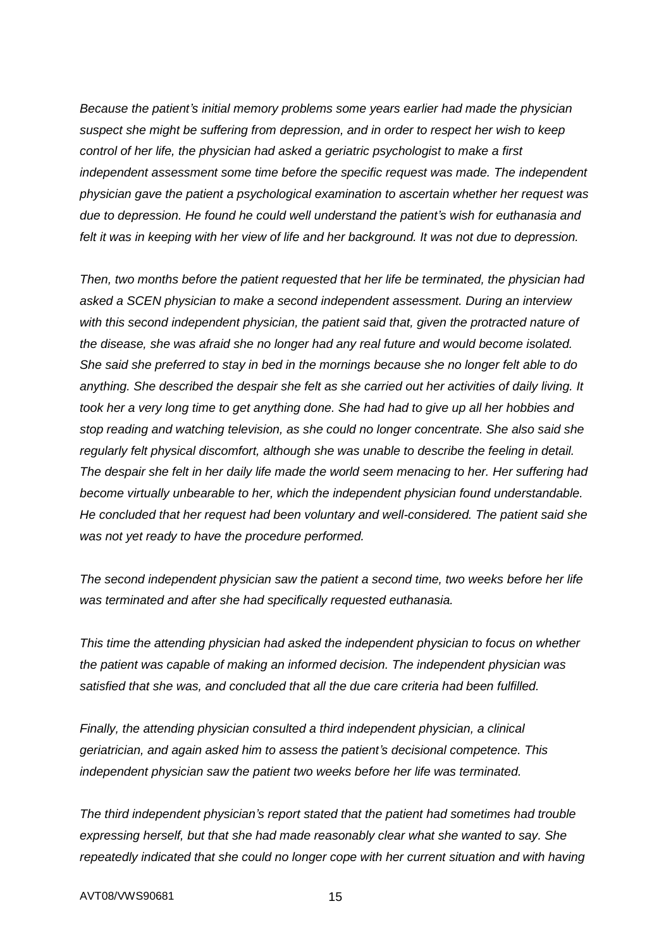*Because the patient's initial memory problems some years earlier had made the physician suspect she might be suffering from depression, and in order to respect her wish to keep control of her life, the physician had asked a geriatric psychologist to make a first independent assessment some time before the specific request was made. The independent physician gave the patient a psychological examination to ascertain whether her request was due to depression. He found he could well understand the patient's wish for euthanasia and felt it was in keeping with her view of life and her background. It was not due to depression.*

*Then, two months before the patient requested that her life be terminated, the physician had asked a SCEN physician to make a second independent assessment. During an interview with this second independent physician, the patient said that, given the protracted nature of the disease, she was afraid she no longer had any real future and would become isolated. She said she preferred to stay in bed in the mornings because she no longer felt able to do anything. She described the despair she felt as she carried out her activities of daily living. It took her a very long time to get anything done. She had had to give up all her hobbies and stop reading and watching television, as she could no longer concentrate. She also said she regularly felt physical discomfort, although she was unable to describe the feeling in detail. The despair she felt in her daily life made the world seem menacing to her. Her suffering had become virtually unbearable to her, which the independent physician found understandable. He concluded that her request had been voluntary and well-considered. The patient said she was not yet ready to have the procedure performed.*

*The second independent physician saw the patient a second time, two weeks before her life was terminated and after she had specifically requested euthanasia.*

*This time the attending physician had asked the independent physician to focus on whether the patient was capable of making an informed decision. The independent physician was satisfied that she was, and concluded that all the due care criteria had been fulfilled.*

*Finally, the attending physician consulted a third independent physician, a clinical geriatrician, and again asked him to assess the patient's decisional competence. This independent physician saw the patient two weeks before her life was terminated.*

*The third independent physician's report stated that the patient had sometimes had trouble expressing herself, but that she had made reasonably clear what she wanted to say. She repeatedly indicated that she could no longer cope with her current situation and with having*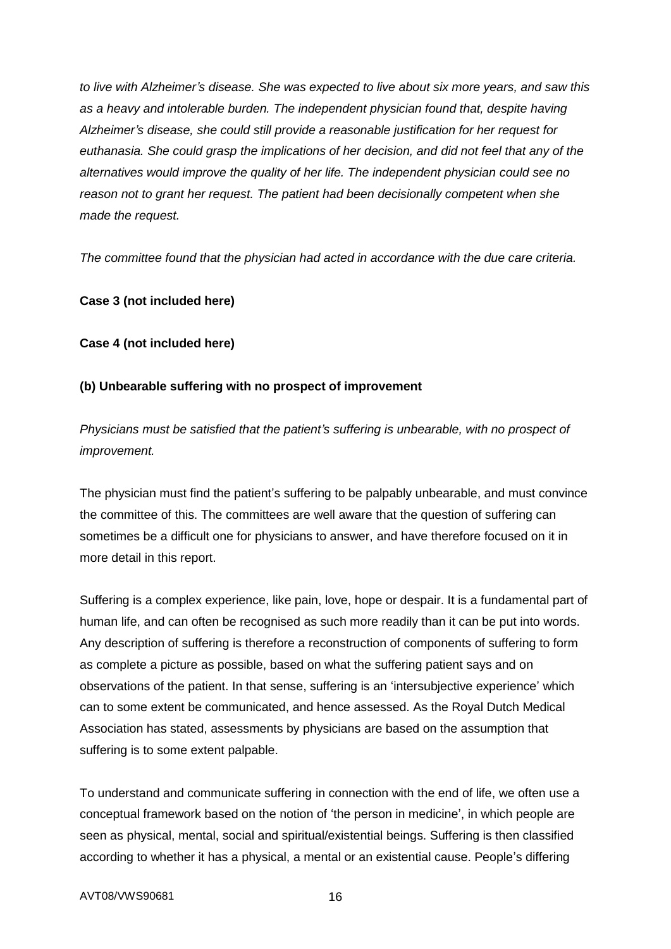*to live with Alzheimer's disease. She was expected to live about six more years, and saw this as a heavy and intolerable burden. The independent physician found that, despite having Alzheimer's disease, she could still provide a reasonable justification for her request for euthanasia. She could grasp the implications of her decision, and did not feel that any of the alternatives would improve the quality of her life. The independent physician could see no reason not to grant her request. The patient had been decisionally competent when she made the request.*

*The committee found that the physician had acted in accordance with the due care criteria.*

#### **Case 3 (not included here)**

**Case 4 (not included here)**

## **(b) Unbearable suffering with no prospect of improvement**

*Physicians must be satisfied that the patient's suffering is unbearable, with no prospect of improvement.*

The physician must find the patient's suffering to be palpably unbearable, and must convince the committee of this. The committees are well aware that the question of suffering can sometimes be a difficult one for physicians to answer, and have therefore focused on it in more detail in this report.

Suffering is a complex experience, like pain, love, hope or despair. It is a fundamental part of human life, and can often be recognised as such more readily than it can be put into words. Any description of suffering is therefore a reconstruction of components of suffering to form as complete a picture as possible, based on what the suffering patient says and on observations of the patient. In that sense, suffering is an 'intersubjective experience' which can to some extent be communicated, and hence assessed. As the Royal Dutch Medical Association has stated, assessments by physicians are based on the assumption that suffering is to some extent palpable.

To understand and communicate suffering in connection with the end of life, we often use a conceptual framework based on the notion of 'the person in medicine', in which people are seen as physical, mental, social and spiritual/existential beings. Suffering is then classified according to whether it has a physical, a mental or an existential cause. People's differing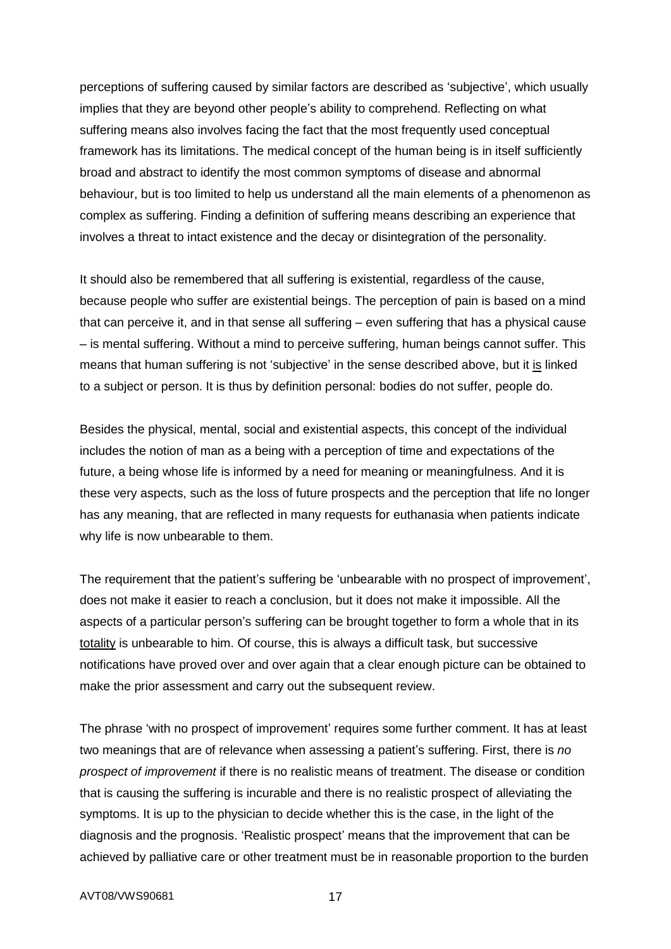perceptions of suffering caused by similar factors are described as 'subjective', which usually implies that they are beyond other people's ability to comprehend. Reflecting on what suffering means also involves facing the fact that the most frequently used conceptual framework has its limitations. The medical concept of the human being is in itself sufficiently broad and abstract to identify the most common symptoms of disease and abnormal behaviour, but is too limited to help us understand all the main elements of a phenomenon as complex as suffering. Finding a definition of suffering means describing an experience that involves a threat to intact existence and the decay or disintegration of the personality.

It should also be remembered that all suffering is existential, regardless of the cause, because people who suffer are existential beings. The perception of pain is based on a mind that can perceive it, and in that sense all suffering – even suffering that has a physical cause – is mental suffering. Without a mind to perceive suffering, human beings cannot suffer. This means that human suffering is not 'subjective' in the sense described above, but it is linked to a subject or person. It is thus by definition personal: bodies do not suffer, people do.

Besides the physical, mental, social and existential aspects, this concept of the individual includes the notion of man as a being with a perception of time and expectations of the future, a being whose life is informed by a need for meaning or meaningfulness. And it is these very aspects, such as the loss of future prospects and the perception that life no longer has any meaning, that are reflected in many requests for euthanasia when patients indicate why life is now unbearable to them.

The requirement that the patient's suffering be 'unbearable with no prospect of improvement', does not make it easier to reach a conclusion, but it does not make it impossible. All the aspects of a particular person's suffering can be brought together to form a whole that in its totality is unbearable to him. Of course, this is always a difficult task, but successive notifications have proved over and over again that a clear enough picture can be obtained to make the prior assessment and carry out the subsequent review.

The phrase 'with no prospect of improvement' requires some further comment. It has at least two meanings that are of relevance when assessing a patient's suffering. First, there is *no prospect of improvement* if there is no realistic means of treatment. The disease or condition that is causing the suffering is incurable and there is no realistic prospect of alleviating the symptoms. It is up to the physician to decide whether this is the case, in the light of the diagnosis and the prognosis. 'Realistic prospect' means that the improvement that can be achieved by palliative care or other treatment must be in reasonable proportion to the burden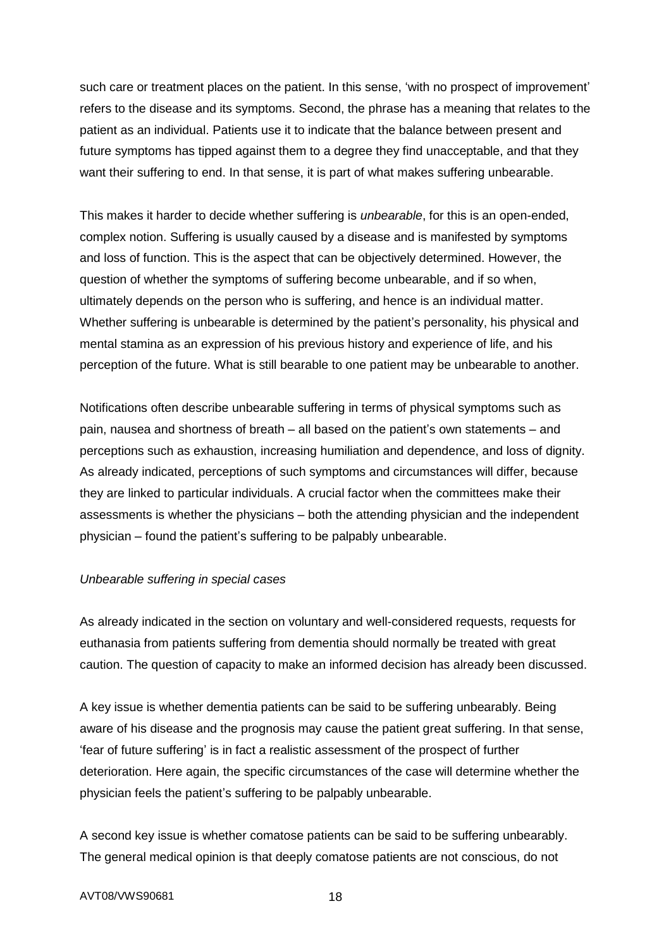such care or treatment places on the patient. In this sense, 'with no prospect of improvement' refers to the disease and its symptoms. Second, the phrase has a meaning that relates to the patient as an individual. Patients use it to indicate that the balance between present and future symptoms has tipped against them to a degree they find unacceptable, and that they want their suffering to end. In that sense, it is part of what makes suffering unbearable.

This makes it harder to decide whether suffering is *unbearable*, for this is an open-ended, complex notion. Suffering is usually caused by a disease and is manifested by symptoms and loss of function. This is the aspect that can be objectively determined. However, the question of whether the symptoms of suffering become unbearable, and if so when, ultimately depends on the person who is suffering, and hence is an individual matter. Whether suffering is unbearable is determined by the patient's personality, his physical and mental stamina as an expression of his previous history and experience of life, and his perception of the future. What is still bearable to one patient may be unbearable to another.

Notifications often describe unbearable suffering in terms of physical symptoms such as pain, nausea and shortness of breath – all based on the patient's own statements – and perceptions such as exhaustion, increasing humiliation and dependence, and loss of dignity. As already indicated, perceptions of such symptoms and circumstances will differ, because they are linked to particular individuals. A crucial factor when the committees make their assessments is whether the physicians – both the attending physician and the independent physician – found the patient's suffering to be palpably unbearable.

#### *Unbearable suffering in special cases*

As already indicated in the section on voluntary and well-considered requests, requests for euthanasia from patients suffering from dementia should normally be treated with great caution. The question of capacity to make an informed decision has already been discussed.

A key issue is whether dementia patients can be said to be suffering unbearably. Being aware of his disease and the prognosis may cause the patient great suffering. In that sense, 'fear of future suffering' is in fact a realistic assessment of the prospect of further deterioration. Here again, the specific circumstances of the case will determine whether the physician feels the patient's suffering to be palpably unbearable.

A second key issue is whether comatose patients can be said to be suffering unbearably. The general medical opinion is that deeply comatose patients are not conscious, do not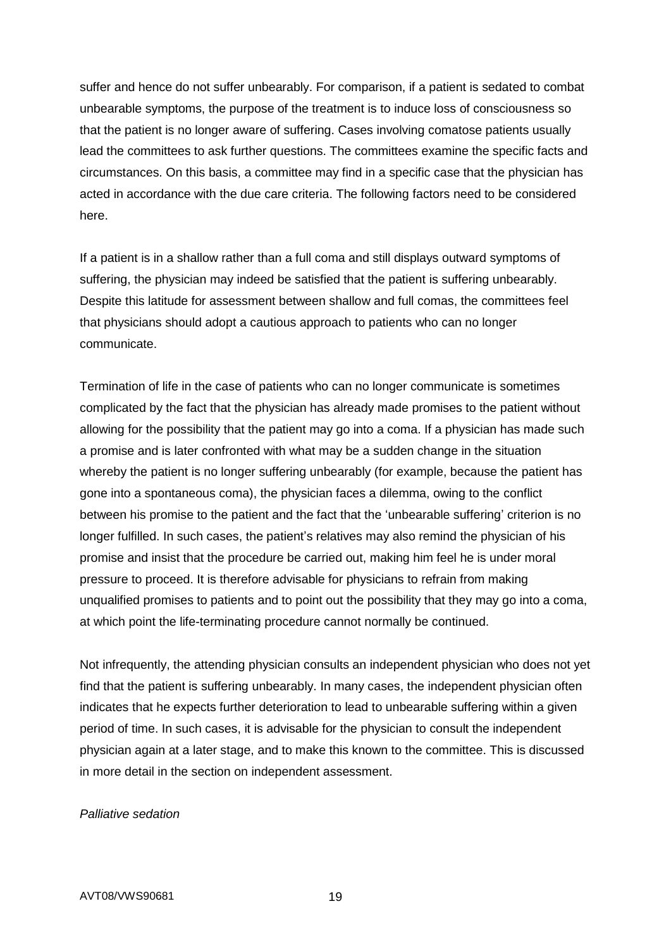suffer and hence do not suffer unbearably. For comparison, if a patient is sedated to combat unbearable symptoms, the purpose of the treatment is to induce loss of consciousness so that the patient is no longer aware of suffering. Cases involving comatose patients usually lead the committees to ask further questions. The committees examine the specific facts and circumstances. On this basis, a committee may find in a specific case that the physician has acted in accordance with the due care criteria. The following factors need to be considered here.

If a patient is in a shallow rather than a full coma and still displays outward symptoms of suffering, the physician may indeed be satisfied that the patient is suffering unbearably. Despite this latitude for assessment between shallow and full comas, the committees feel that physicians should adopt a cautious approach to patients who can no longer communicate.

Termination of life in the case of patients who can no longer communicate is sometimes complicated by the fact that the physician has already made promises to the patient without allowing for the possibility that the patient may go into a coma. If a physician has made such a promise and is later confronted with what may be a sudden change in the situation whereby the patient is no longer suffering unbearably (for example, because the patient has gone into a spontaneous coma), the physician faces a dilemma, owing to the conflict between his promise to the patient and the fact that the 'unbearable suffering' criterion is no longer fulfilled. In such cases, the patient's relatives may also remind the physician of his promise and insist that the procedure be carried out, making him feel he is under moral pressure to proceed. It is therefore advisable for physicians to refrain from making unqualified promises to patients and to point out the possibility that they may go into a coma, at which point the life-terminating procedure cannot normally be continued.

Not infrequently, the attending physician consults an independent physician who does not yet find that the patient is suffering unbearably. In many cases, the independent physician often indicates that he expects further deterioration to lead to unbearable suffering within a given period of time. In such cases, it is advisable for the physician to consult the independent physician again at a later stage, and to make this known to the committee. This is discussed in more detail in the section on independent assessment.

#### *Palliative sedation*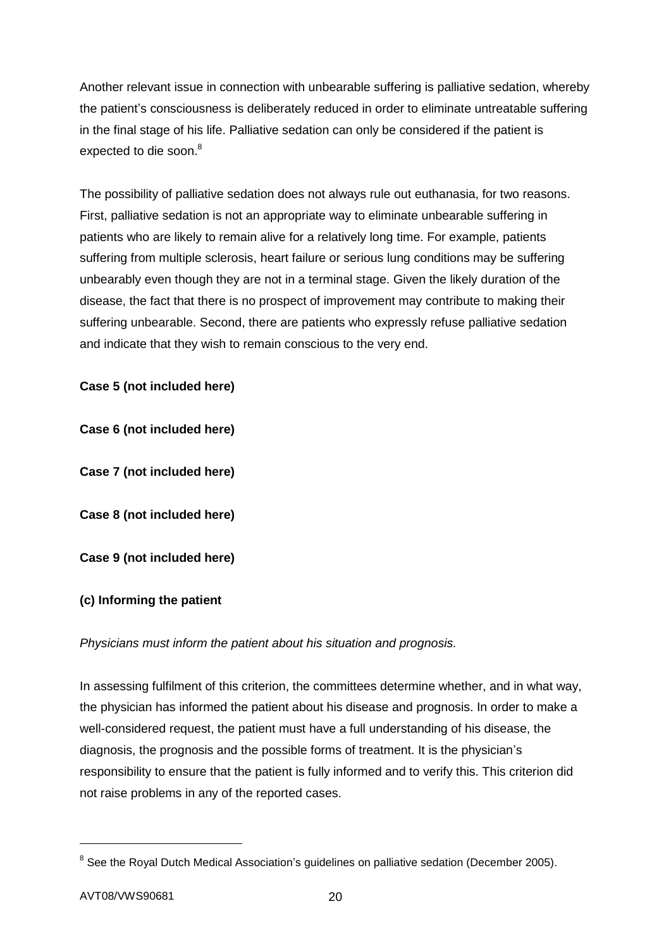Another relevant issue in connection with unbearable suffering is palliative sedation, whereby the patient's consciousness is deliberately reduced in order to eliminate untreatable suffering in the final stage of his life. Palliative sedation can only be considered if the patient is expected to die soon.<sup>8</sup>

The possibility of palliative sedation does not always rule out euthanasia, for two reasons. First, palliative sedation is not an appropriate way to eliminate unbearable suffering in patients who are likely to remain alive for a relatively long time. For example, patients suffering from multiple sclerosis, heart failure or serious lung conditions may be suffering unbearably even though they are not in a terminal stage. Given the likely duration of the disease, the fact that there is no prospect of improvement may contribute to making their suffering unbearable. Second, there are patients who expressly refuse palliative sedation and indicate that they wish to remain conscious to the very end.

## **Case 5 (not included here)**

**Case 6 (not included here)**

**Case 7 (not included here)**

**Case 8 (not included here)**

**Case 9 (not included here)**

#### **(c) Informing the patient**

#### *Physicians must inform the patient about his situation and prognosis.*

In assessing fulfilment of this criterion, the committees determine whether, and in what way, the physician has informed the patient about his disease and prognosis. In order to make a well-considered request, the patient must have a full understanding of his disease, the diagnosis, the prognosis and the possible forms of treatment. It is the physician's responsibility to ensure that the patient is fully informed and to verify this. This criterion did not raise problems in any of the reported cases.

1

<sup>&</sup>lt;sup>8</sup> See the Royal Dutch Medical Association's guidelines on palliative sedation (December 2005).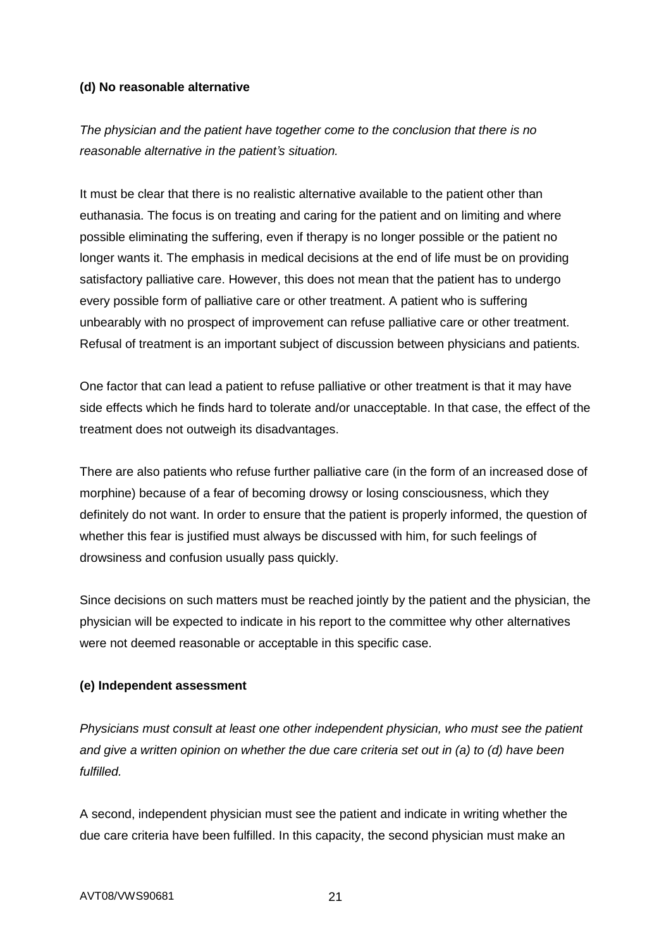## **(d) No reasonable alternative**

*The physician and the patient have together come to the conclusion that there is no reasonable alternative in the patient's situation.*

It must be clear that there is no realistic alternative available to the patient other than euthanasia. The focus is on treating and caring for the patient and on limiting and where possible eliminating the suffering, even if therapy is no longer possible or the patient no longer wants it. The emphasis in medical decisions at the end of life must be on providing satisfactory palliative care. However, this does not mean that the patient has to undergo every possible form of palliative care or other treatment. A patient who is suffering unbearably with no prospect of improvement can refuse palliative care or other treatment. Refusal of treatment is an important subject of discussion between physicians and patients.

One factor that can lead a patient to refuse palliative or other treatment is that it may have side effects which he finds hard to tolerate and/or unacceptable. In that case, the effect of the treatment does not outweigh its disadvantages.

There are also patients who refuse further palliative care (in the form of an increased dose of morphine) because of a fear of becoming drowsy or losing consciousness, which they definitely do not want. In order to ensure that the patient is properly informed, the question of whether this fear is justified must always be discussed with him, for such feelings of drowsiness and confusion usually pass quickly.

Since decisions on such matters must be reached jointly by the patient and the physician, the physician will be expected to indicate in his report to the committee why other alternatives were not deemed reasonable or acceptable in this specific case.

## **(e) Independent assessment**

*Physicians must consult at least one other independent physician, who must see the patient and give a written opinion on whether the due care criteria set out in (a) to (d) have been fulfilled.*

A second, independent physician must see the patient and indicate in writing whether the due care criteria have been fulfilled. In this capacity, the second physician must make an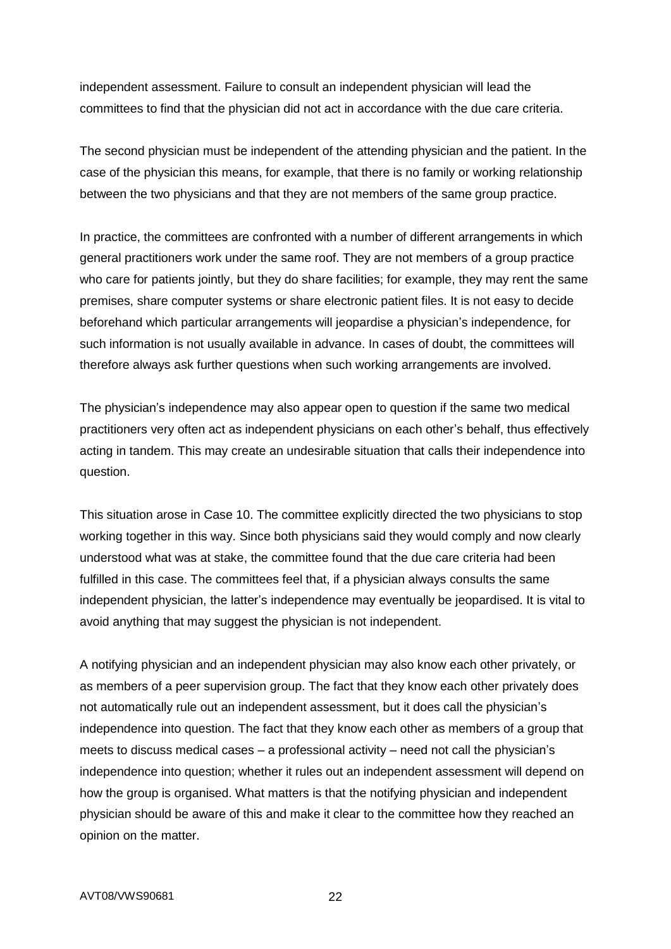independent assessment. Failure to consult an independent physician will lead the committees to find that the physician did not act in accordance with the due care criteria.

The second physician must be independent of the attending physician and the patient. In the case of the physician this means, for example, that there is no family or working relationship between the two physicians and that they are not members of the same group practice.

In practice, the committees are confronted with a number of different arrangements in which general practitioners work under the same roof. They are not members of a group practice who care for patients jointly, but they do share facilities; for example, they may rent the same premises, share computer systems or share electronic patient files. It is not easy to decide beforehand which particular arrangements will jeopardise a physician's independence, for such information is not usually available in advance. In cases of doubt, the committees will therefore always ask further questions when such working arrangements are involved.

The physician's independence may also appear open to question if the same two medical practitioners very often act as independent physicians on each other's behalf, thus effectively acting in tandem. This may create an undesirable situation that calls their independence into question.

This situation arose in Case 10. The committee explicitly directed the two physicians to stop working together in this way. Since both physicians said they would comply and now clearly understood what was at stake, the committee found that the due care criteria had been fulfilled in this case. The committees feel that, if a physician always consults the same independent physician, the latter's independence may eventually be jeopardised. It is vital to avoid anything that may suggest the physician is not independent.

A notifying physician and an independent physician may also know each other privately, or as members of a peer supervision group. The fact that they know each other privately does not automatically rule out an independent assessment, but it does call the physician's independence into question. The fact that they know each other as members of a group that meets to discuss medical cases – a professional activity – need not call the physician's independence into question; whether it rules out an independent assessment will depend on how the group is organised. What matters is that the notifying physician and independent physician should be aware of this and make it clear to the committee how they reached an opinion on the matter.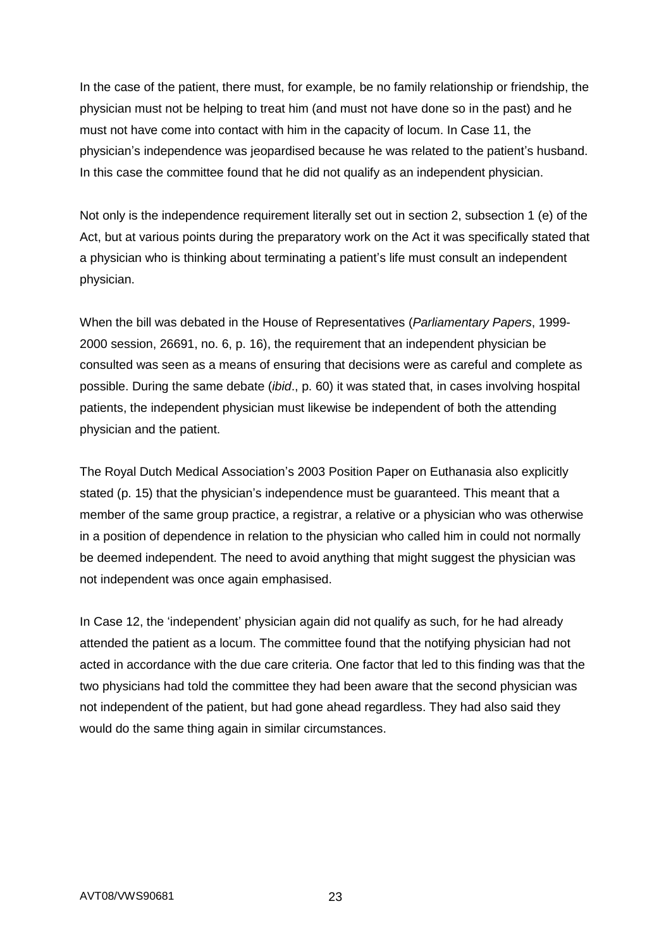In the case of the patient, there must, for example, be no family relationship or friendship, the physician must not be helping to treat him (and must not have done so in the past) and he must not have come into contact with him in the capacity of locum. In Case 11, the physician's independence was jeopardised because he was related to the patient's husband. In this case the committee found that he did not qualify as an independent physician.

Not only is the independence requirement literally set out in section 2, subsection 1 (e) of the Act, but at various points during the preparatory work on the Act it was specifically stated that a physician who is thinking about terminating a patient's life must consult an independent physician.

When the bill was debated in the House of Representatives (*Parliamentary Papers*, 1999- 2000 session, 26691, no. 6, p. 16), the requirement that an independent physician be consulted was seen as a means of ensuring that decisions were as careful and complete as possible. During the same debate (*ibid*., p. 60) it was stated that, in cases involving hospital patients, the independent physician must likewise be independent of both the attending physician and the patient.

The Royal Dutch Medical Association's 2003 Position Paper on Euthanasia also explicitly stated (p. 15) that the physician's independence must be guaranteed. This meant that a member of the same group practice, a registrar, a relative or a physician who was otherwise in a position of dependence in relation to the physician who called him in could not normally be deemed independent. The need to avoid anything that might suggest the physician was not independent was once again emphasised.

In Case 12, the 'independent' physician again did not qualify as such, for he had already attended the patient as a locum. The committee found that the notifying physician had not acted in accordance with the due care criteria. One factor that led to this finding was that the two physicians had told the committee they had been aware that the second physician was not independent of the patient, but had gone ahead regardless. They had also said they would do the same thing again in similar circumstances.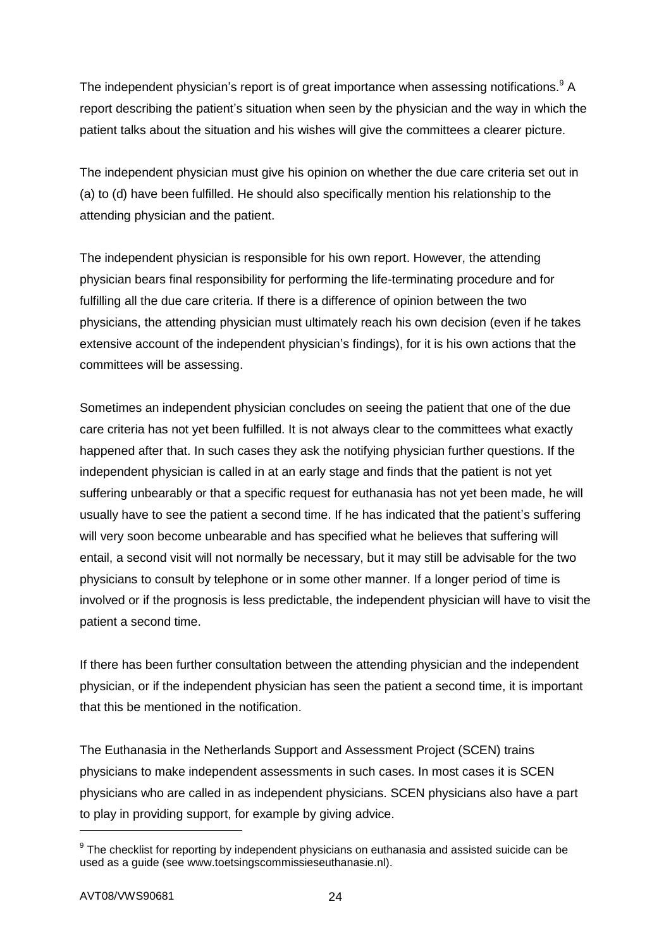The independent physician's report is of great importance when assessing notifications.<sup>9</sup> A report describing the patient's situation when seen by the physician and the way in which the patient talks about the situation and his wishes will give the committees a clearer picture.

The independent physician must give his opinion on whether the due care criteria set out in (a) to (d) have been fulfilled. He should also specifically mention his relationship to the attending physician and the patient.

The independent physician is responsible for his own report. However, the attending physician bears final responsibility for performing the life-terminating procedure and for fulfilling all the due care criteria. If there is a difference of opinion between the two physicians, the attending physician must ultimately reach his own decision (even if he takes extensive account of the independent physician's findings), for it is his own actions that the committees will be assessing.

Sometimes an independent physician concludes on seeing the patient that one of the due care criteria has not yet been fulfilled. It is not always clear to the committees what exactly happened after that. In such cases they ask the notifying physician further questions. If the independent physician is called in at an early stage and finds that the patient is not yet suffering unbearably or that a specific request for euthanasia has not yet been made, he will usually have to see the patient a second time. If he has indicated that the patient's suffering will very soon become unbearable and has specified what he believes that suffering will entail, a second visit will not normally be necessary, but it may still be advisable for the two physicians to consult by telephone or in some other manner. If a longer period of time is involved or if the prognosis is less predictable, the independent physician will have to visit the patient a second time.

If there has been further consultation between the attending physician and the independent physician, or if the independent physician has seen the patient a second time, it is important that this be mentioned in the notification.

The Euthanasia in the Netherlands Support and Assessment Project (SCEN) trains physicians to make independent assessments in such cases. In most cases it is SCEN physicians who are called in as independent physicians. SCEN physicians also have a part to play in providing support, for example by giving advice.

-

 $9$  The checklist for reporting by independent physicians on euthanasia and assisted suicide can be used as a guide (see www.toetsingscommissieseuthanasie.nl).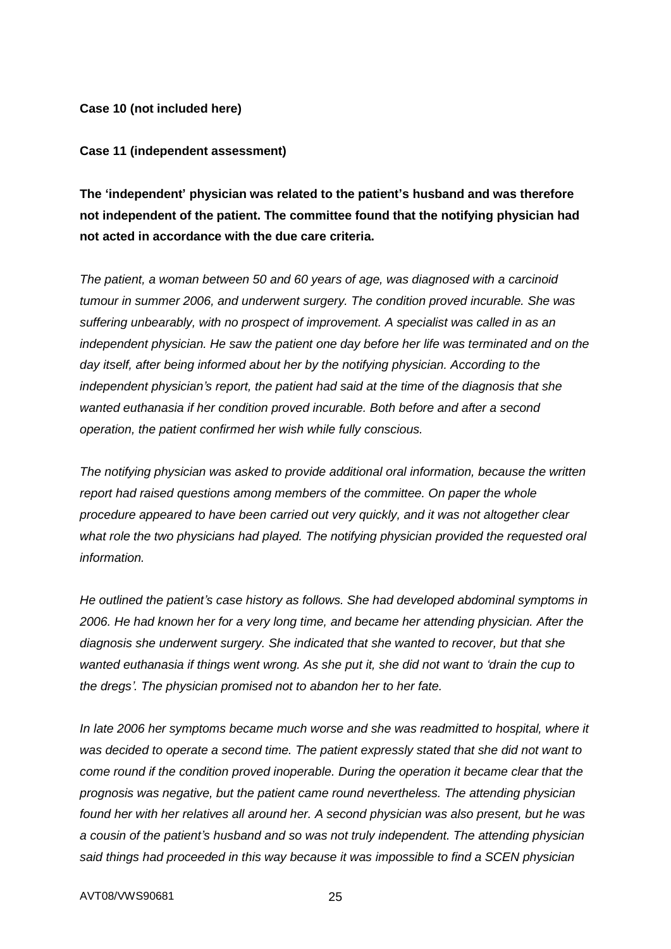**Case 10 (not included here)**

#### **Case 11 (independent assessment)**

**The 'independent' physician was related to the patient's husband and was therefore not independent of the patient. The committee found that the notifying physician had not acted in accordance with the due care criteria.**

*The patient, a woman between 50 and 60 years of age, was diagnosed with a carcinoid tumour in summer 2006, and underwent surgery. The condition proved incurable. She was suffering unbearably, with no prospect of improvement. A specialist was called in as an independent physician. He saw the patient one day before her life was terminated and on the day itself, after being informed about her by the notifying physician. According to the independent physician's report, the patient had said at the time of the diagnosis that she wanted euthanasia if her condition proved incurable. Both before and after a second operation, the patient confirmed her wish while fully conscious.*

*The notifying physician was asked to provide additional oral information, because the written report had raised questions among members of the committee. On paper the whole procedure appeared to have been carried out very quickly, and it was not altogether clear what role the two physicians had played. The notifying physician provided the requested oral information.*

*He outlined the patient's case history as follows. She had developed abdominal symptoms in 2006. He had known her for a very long time, and became her attending physician. After the diagnosis she underwent surgery. She indicated that she wanted to recover, but that she wanted euthanasia if things went wrong. As she put it, she did not want to 'drain the cup to the dregs'. The physician promised not to abandon her to her fate.*

In late 2006 her symptoms became much worse and she was readmitted to hospital, where it *was decided to operate a second time. The patient expressly stated that she did not want to come round if the condition proved inoperable. During the operation it became clear that the prognosis was negative, but the patient came round nevertheless. The attending physician found her with her relatives all around her. A second physician was also present, but he was a cousin of the patient's husband and so was not truly independent. The attending physician said things had proceeded in this way because it was impossible to find a SCEN physician*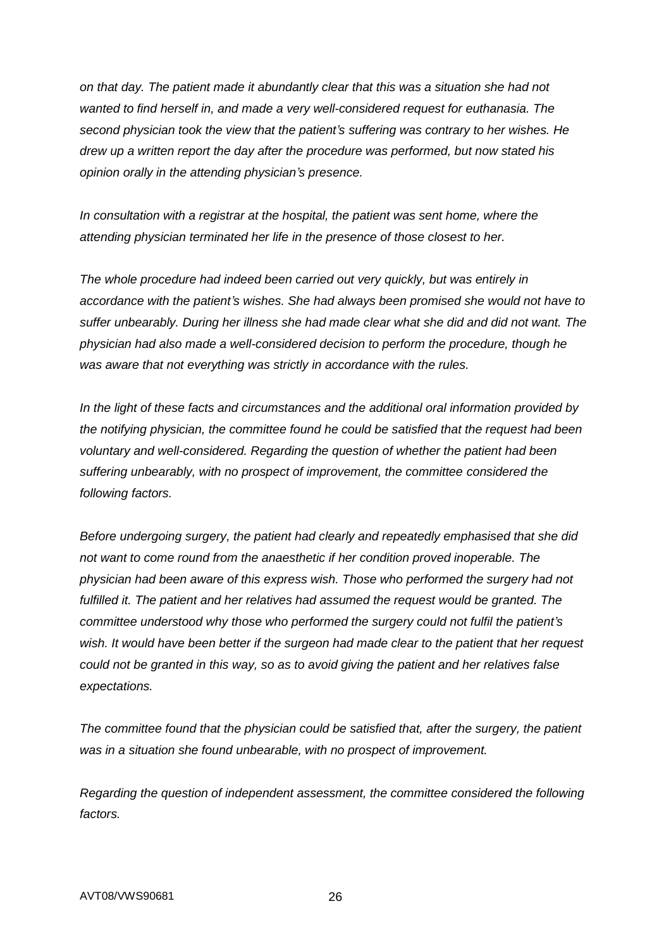*on that day. The patient made it abundantly clear that this was a situation she had not wanted to find herself in, and made a very well-considered request for euthanasia. The second physician took the view that the patient's suffering was contrary to her wishes. He drew up a written report the day after the procedure was performed, but now stated his opinion orally in the attending physician's presence.*

*In consultation with a registrar at the hospital, the patient was sent home, where the attending physician terminated her life in the presence of those closest to her.*

*The whole procedure had indeed been carried out very quickly, but was entirely in accordance with the patient's wishes. She had always been promised she would not have to suffer unbearably. During her illness she had made clear what she did and did not want. The physician had also made a well-considered decision to perform the procedure, though he was aware that not everything was strictly in accordance with the rules.*

*In the light of these facts and circumstances and the additional oral information provided by the notifying physician, the committee found he could be satisfied that the request had been voluntary and well-considered. Regarding the question of whether the patient had been suffering unbearably, with no prospect of improvement, the committee considered the following factors.*

*Before undergoing surgery, the patient had clearly and repeatedly emphasised that she did not want to come round from the anaesthetic if her condition proved inoperable. The physician had been aware of this express wish. Those who performed the surgery had not*  fulfilled it. The patient and her relatives had assumed the request would be granted. The *committee understood why those who performed the surgery could not fulfil the patient's wish. It would have been better if the surgeon had made clear to the patient that her request could not be granted in this way, so as to avoid giving the patient and her relatives false expectations.*

*The committee found that the physician could be satisfied that, after the surgery, the patient was in a situation she found unbearable, with no prospect of improvement.*

*Regarding the question of independent assessment, the committee considered the following factors.*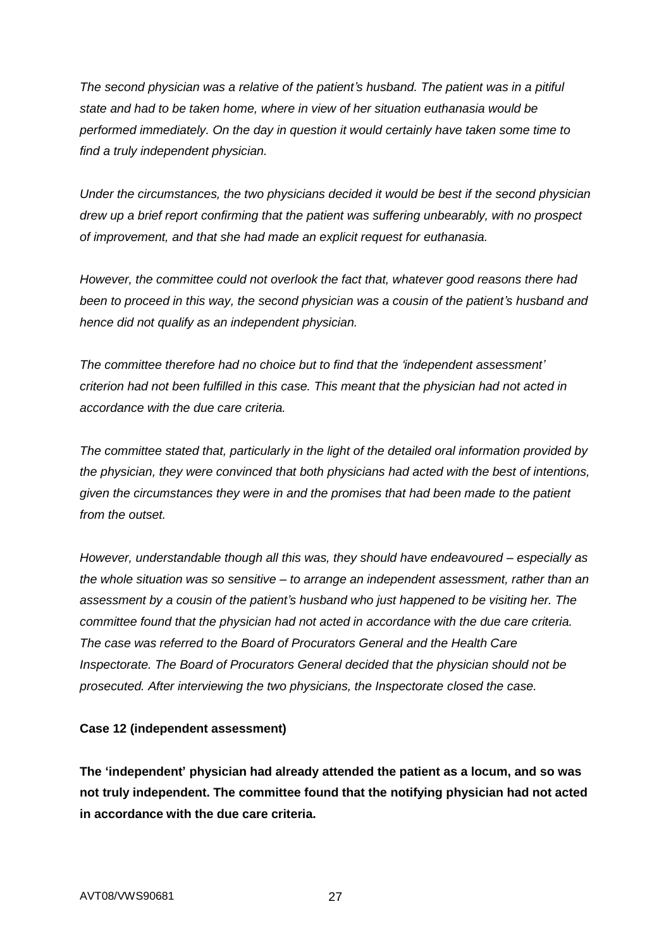*The second physician was a relative of the patient's husband. The patient was in a pitiful state and had to be taken home, where in view of her situation euthanasia would be performed immediately. On the day in question it would certainly have taken some time to find a truly independent physician.*

*Under the circumstances, the two physicians decided it would be best if the second physician drew up a brief report confirming that the patient was suffering unbearably, with no prospect of improvement, and that she had made an explicit request for euthanasia.*

*However, the committee could not overlook the fact that, whatever good reasons there had been to proceed in this way, the second physician was a cousin of the patient's husband and hence did not qualify as an independent physician.*

*The committee therefore had no choice but to find that the 'independent assessment' criterion had not been fulfilled in this case. This meant that the physician had not acted in accordance with the due care criteria.*

*The committee stated that, particularly in the light of the detailed oral information provided by the physician, they were convinced that both physicians had acted with the best of intentions, given the circumstances they were in and the promises that had been made to the patient from the outset.*

*However, understandable though all this was, they should have endeavoured – especially as the whole situation was so sensitive – to arrange an independent assessment, rather than an assessment by a cousin of the patient's husband who just happened to be visiting her. The committee found that the physician had not acted in accordance with the due care criteria. The case was referred to the Board of Procurators General and the Health Care Inspectorate. The Board of Procurators General decided that the physician should not be prosecuted. After interviewing the two physicians, the Inspectorate closed the case.*

#### **Case 12 (independent assessment)**

**The 'independent' physician had already attended the patient as a locum, and so was not truly independent. The committee found that the notifying physician had not acted in accordance with the due care criteria.**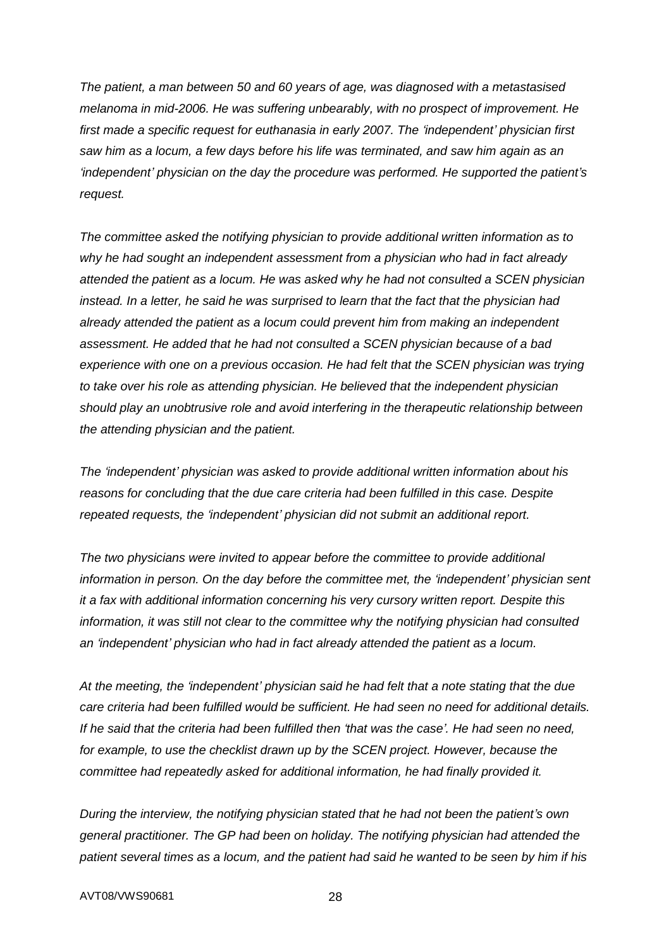*The patient, a man between 50 and 60 years of age, was diagnosed with a metastasised melanoma in mid-2006. He was suffering unbearably, with no prospect of improvement. He first made a specific request for euthanasia in early 2007. The 'independent' physician first saw him as a locum, a few days before his life was terminated, and saw him again as an 'independent' physician on the day the procedure was performed. He supported the patient's request.*

*The committee asked the notifying physician to provide additional written information as to why he had sought an independent assessment from a physician who had in fact already attended the patient as a locum. He was asked why he had not consulted a SCEN physician instead. In a letter, he said he was surprised to learn that the fact that the physician had already attended the patient as a locum could prevent him from making an independent assessment. He added that he had not consulted a SCEN physician because of a bad*  experience with one on a previous occasion. He had felt that the SCEN physician was trying *to take over his role as attending physician. He believed that the independent physician should play an unobtrusive role and avoid interfering in the therapeutic relationship between the attending physician and the patient.*

*The 'independent' physician was asked to provide additional written information about his reasons for concluding that the due care criteria had been fulfilled in this case. Despite repeated requests, the 'independent' physician did not submit an additional report.*

*The two physicians were invited to appear before the committee to provide additional information in person. On the day before the committee met, the 'independent' physician sent it a fax with additional information concerning his very cursory written report. Despite this information, it was still not clear to the committee why the notifying physician had consulted an 'independent' physician who had in fact already attended the patient as a locum.*

*At the meeting, the 'independent' physician said he had felt that a note stating that the due care criteria had been fulfilled would be sufficient. He had seen no need for additional details. If he said that the criteria had been fulfilled then 'that was the case'. He had seen no need, for example, to use the checklist drawn up by the SCEN project. However, because the committee had repeatedly asked for additional information, he had finally provided it.*

*During the interview, the notifying physician stated that he had not been the patient's own general practitioner. The GP had been on holiday. The notifying physician had attended the patient several times as a locum, and the patient had said he wanted to be seen by him if his*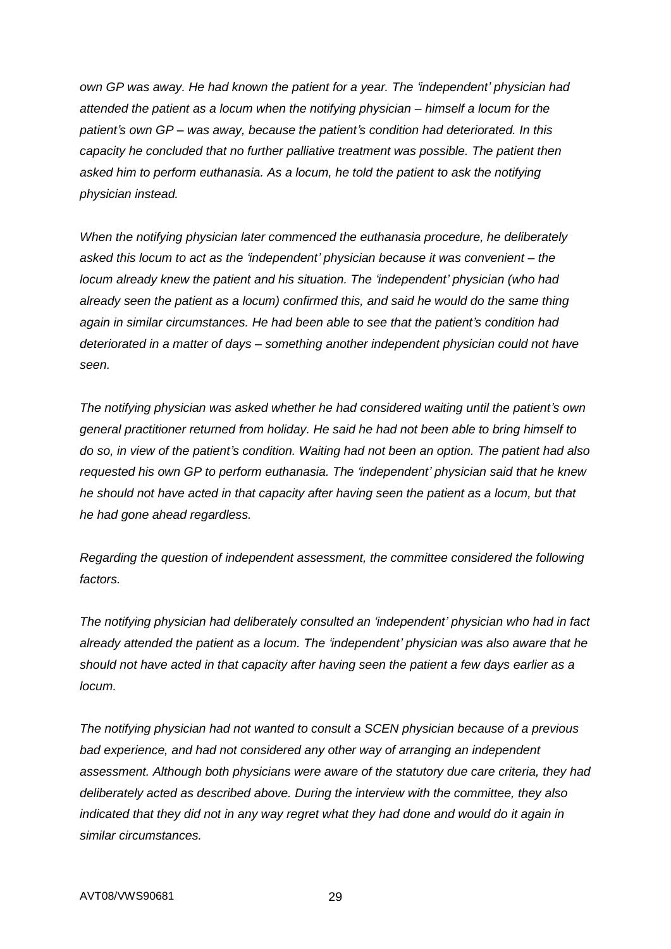*own GP was away. He had known the patient for a year. The 'independent' physician had attended the patient as a locum when the notifying physician – himself a locum for the patient's own GP – was away, because the patient's condition had deteriorated. In this capacity he concluded that no further palliative treatment was possible. The patient then asked him to perform euthanasia. As a locum, he told the patient to ask the notifying physician instead.*

*When the notifying physician later commenced the euthanasia procedure, he deliberately asked this locum to act as the 'independent' physician because it was convenient – the locum already knew the patient and his situation. The 'independent' physician (who had already seen the patient as a locum) confirmed this, and said he would do the same thing again in similar circumstances. He had been able to see that the patient's condition had deteriorated in a matter of days – something another independent physician could not have seen.*

*The notifying physician was asked whether he had considered waiting until the patient's own general practitioner returned from holiday. He said he had not been able to bring himself to do so, in view of the patient's condition. Waiting had not been an option. The patient had also requested his own GP to perform euthanasia. The 'independent' physician said that he knew he should not have acted in that capacity after having seen the patient as a locum, but that he had gone ahead regardless.*

*Regarding the question of independent assessment, the committee considered the following factors.*

*The notifying physician had deliberately consulted an 'independent' physician who had in fact already attended the patient as a locum. The 'independent' physician was also aware that he should not have acted in that capacity after having seen the patient a few days earlier as a locum.*

*The notifying physician had not wanted to consult a SCEN physician because of a previous bad experience, and had not considered any other way of arranging an independent assessment. Although both physicians were aware of the statutory due care criteria, they had deliberately acted as described above. During the interview with the committee, they also indicated that they did not in any way regret what they had done and would do it again in similar circumstances.*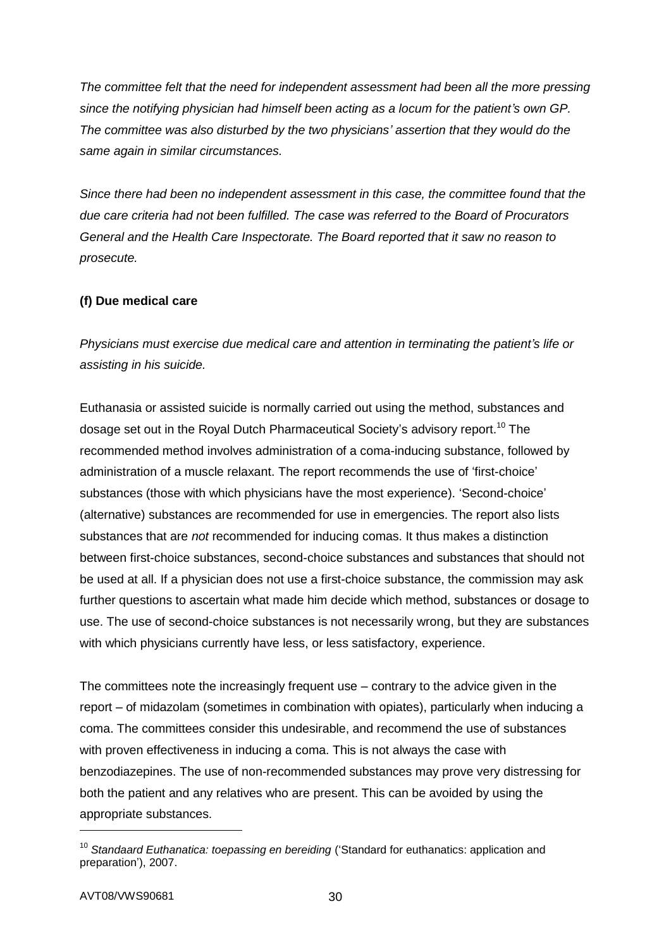*The committee felt that the need for independent assessment had been all the more pressing since the notifying physician had himself been acting as a locum for the patient's own GP. The committee was also disturbed by the two physicians' assertion that they would do the same again in similar circumstances.*

*Since there had been no independent assessment in this case, the committee found that the due care criteria had not been fulfilled. The case was referred to the Board of Procurators General and the Health Care Inspectorate. The Board reported that it saw no reason to prosecute.*

## **(f) Due medical care**

*Physicians must exercise due medical care and attention in terminating the patient's life or assisting in his suicide.*

Euthanasia or assisted suicide is normally carried out using the method, substances and dosage set out in the Royal Dutch Pharmaceutical Society's advisory report.<sup>10</sup> The recommended method involves administration of a coma-inducing substance, followed by administration of a muscle relaxant. The report recommends the use of 'first-choice' substances (those with which physicians have the most experience). 'Second-choice' (alternative) substances are recommended for use in emergencies. The report also lists substances that are *not* recommended for inducing comas. It thus makes a distinction between first-choice substances, second-choice substances and substances that should not be used at all. If a physician does not use a first-choice substance, the commission may ask further questions to ascertain what made him decide which method, substances or dosage to use. The use of second-choice substances is not necessarily wrong, but they are substances with which physicians currently have less, or less satisfactory, experience.

The committees note the increasingly frequent use – contrary to the advice given in the report – of midazolam (sometimes in combination with opiates), particularly when inducing a coma. The committees consider this undesirable, and recommend the use of substances with proven effectiveness in inducing a coma. This is not always the case with benzodiazepines. The use of non-recommended substances may prove very distressing for both the patient and any relatives who are present. This can be avoided by using the appropriate substances.

-

<sup>&</sup>lt;sup>10</sup> Standaard Euthanatica: toepassing en bereiding ('Standard for euthanatics: application and preparation'), 2007.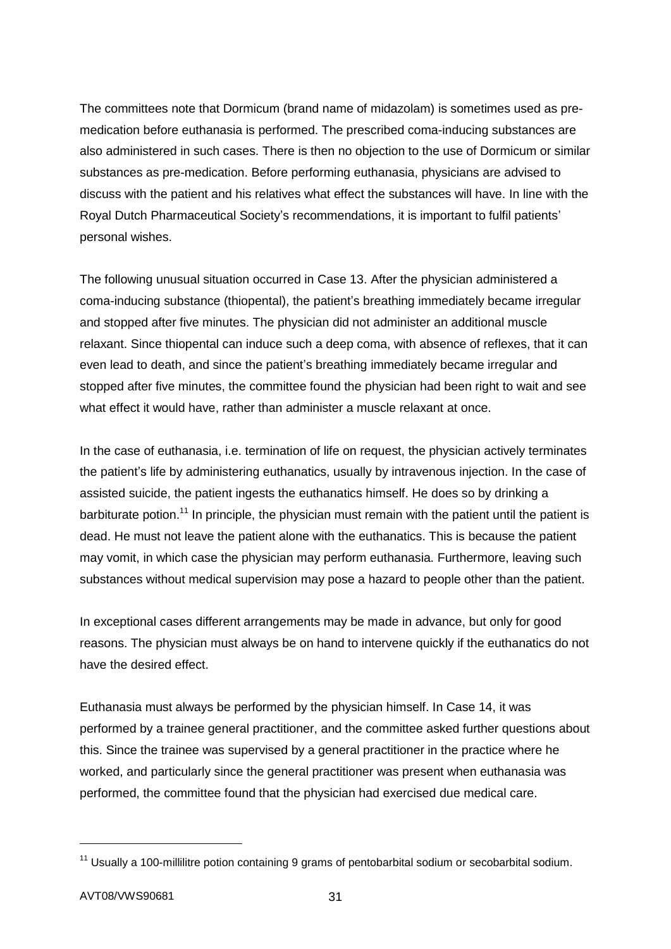The committees note that Dormicum (brand name of midazolam) is sometimes used as premedication before euthanasia is performed. The prescribed coma-inducing substances are also administered in such cases. There is then no objection to the use of Dormicum or similar substances as pre-medication. Before performing euthanasia, physicians are advised to discuss with the patient and his relatives what effect the substances will have. In line with the Royal Dutch Pharmaceutical Society's recommendations, it is important to fulfil patients' personal wishes.

The following unusual situation occurred in Case 13. After the physician administered a coma-inducing substance (thiopental), the patient's breathing immediately became irregular and stopped after five minutes. The physician did not administer an additional muscle relaxant. Since thiopental can induce such a deep coma, with absence of reflexes, that it can even lead to death, and since the patient's breathing immediately became irregular and stopped after five minutes, the committee found the physician had been right to wait and see what effect it would have, rather than administer a muscle relaxant at once.

In the case of euthanasia, i.e. termination of life on request, the physician actively terminates the patient's life by administering euthanatics, usually by intravenous injection. In the case of assisted suicide, the patient ingests the euthanatics himself. He does so by drinking a barbiturate potion.<sup>11</sup> In principle, the physician must remain with the patient until the patient is dead. He must not leave the patient alone with the euthanatics. This is because the patient may vomit, in which case the physician may perform euthanasia. Furthermore, leaving such substances without medical supervision may pose a hazard to people other than the patient.

In exceptional cases different arrangements may be made in advance, but only for good reasons. The physician must always be on hand to intervene quickly if the euthanatics do not have the desired effect.

Euthanasia must always be performed by the physician himself. In Case 14, it was performed by a trainee general practitioner, and the committee asked further questions about this. Since the trainee was supervised by a general practitioner in the practice where he worked, and particularly since the general practitioner was present when euthanasia was performed, the committee found that the physician had exercised due medical care.

1

 $11$  Usually a 100-millilitre potion containing 9 grams of pentobarbital sodium or secobarbital sodium.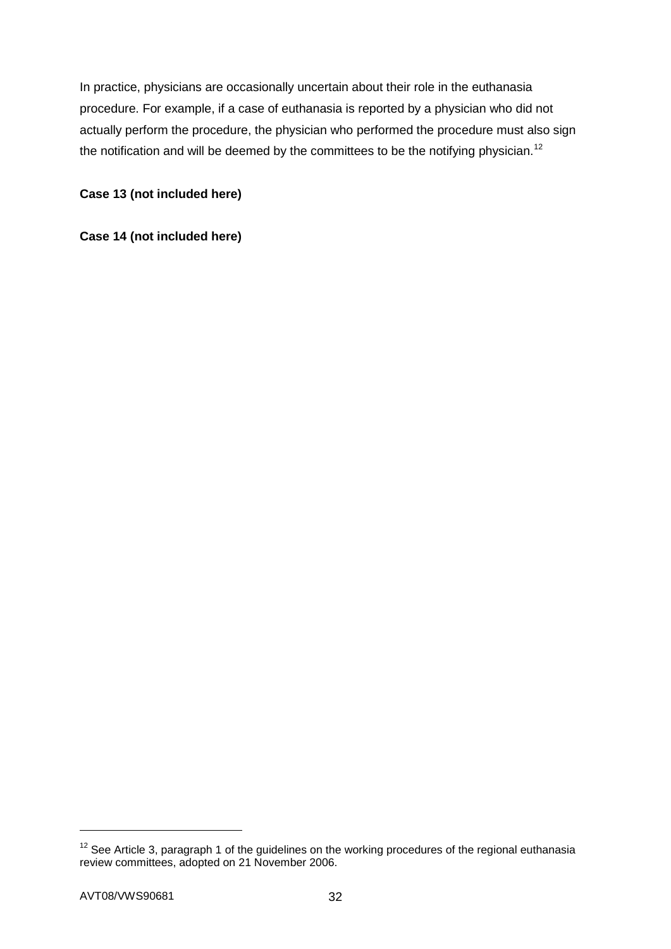In practice, physicians are occasionally uncertain about their role in the euthanasia procedure. For example, if a case of euthanasia is reported by a physician who did not actually perform the procedure, the physician who performed the procedure must also sign the notification and will be deemed by the committees to be the notifying physician.<sup>12</sup>

## **Case 13 (not included here)**

## **Case 14 (not included here)**

-

 $12$  See Article 3, paragraph 1 of the guidelines on the working procedures of the regional euthanasia review committees, adopted on 21 November 2006.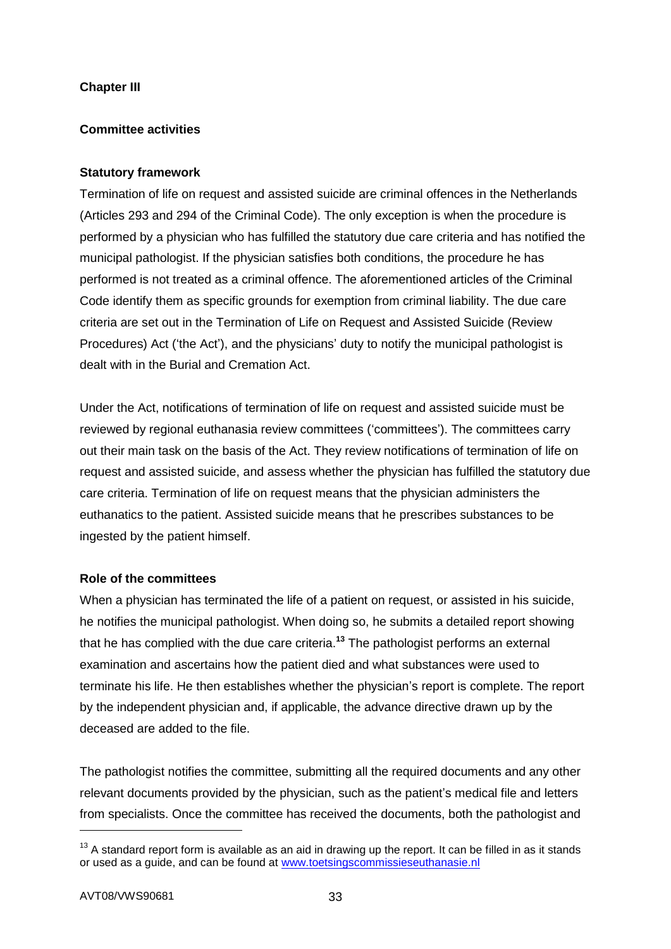## **Chapter III**

## **Committee activities**

#### **Statutory framework**

Termination of life on request and assisted suicide are criminal offences in the Netherlands (Articles 293 and 294 of the Criminal Code). The only exception is when the procedure is performed by a physician who has fulfilled the statutory due care criteria and has notified the municipal pathologist. If the physician satisfies both conditions, the procedure he has performed is not treated as a criminal offence. The aforementioned articles of the Criminal Code identify them as specific grounds for exemption from criminal liability. The due care criteria are set out in the Termination of Life on Request and Assisted Suicide (Review Procedures) Act ('the Act'), and the physicians' duty to notify the municipal pathologist is dealt with in the Burial and Cremation Act.

Under the Act, notifications of termination of life on request and assisted suicide must be reviewed by regional euthanasia review committees ('committees'). The committees carry out their main task on the basis of the Act. They review notifications of termination of life on request and assisted suicide, and assess whether the physician has fulfilled the statutory due care criteria. Termination of life on request means that the physician administers the euthanatics to the patient. Assisted suicide means that he prescribes substances to be ingested by the patient himself.

#### **Role of the committees**

When a physician has terminated the life of a patient on request, or assisted in his suicide, he notifies the municipal pathologist. When doing so, he submits a detailed report showing that he has complied with the due care criteria.**<sup>13</sup>** The pathologist performs an external examination and ascertains how the patient died and what substances were used to terminate his life. He then establishes whether the physician's report is complete. The report by the independent physician and, if applicable, the advance directive drawn up by the deceased are added to the file.

The pathologist notifies the committee, submitting all the required documents and any other relevant documents provided by the physician, such as the patient's medical file and letters from specialists. Once the committee has received the documents, both the pathologist and

-

 $13$  A standard report form is available as an aid in drawing up the report. It can be filled in as it stands or used as a guide, and can be found at [www.toetsingscommissieseuthanasie.nl](http://www.toetsingscommissieseuthanasie.nl/)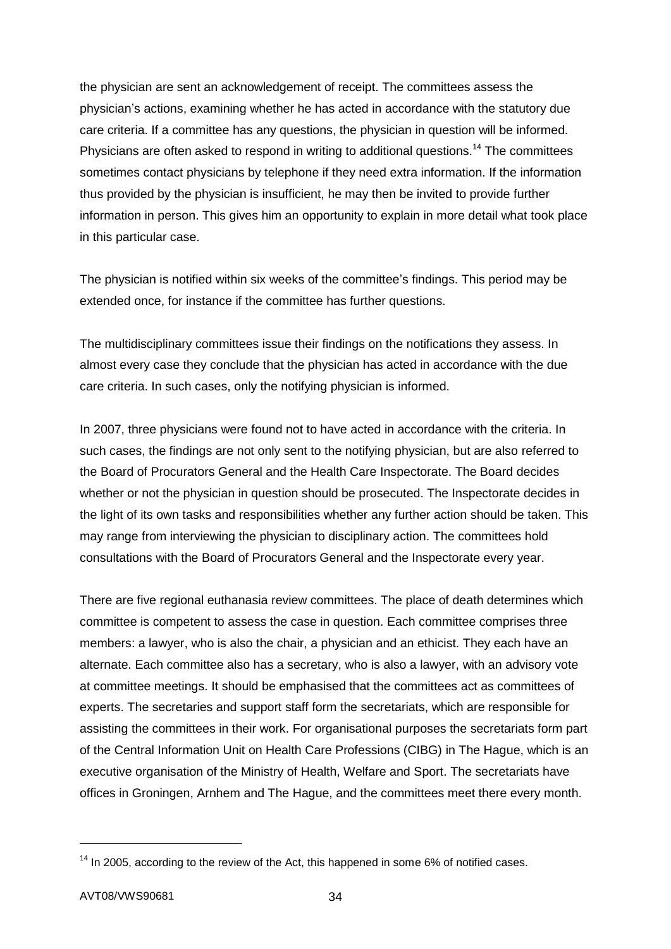the physician are sent an acknowledgement of receipt. The committees assess the physician's actions, examining whether he has acted in accordance with the statutory due care criteria. If a committee has any questions, the physician in question will be informed. Physicians are often asked to respond in writing to additional questions.<sup>14</sup> The committees sometimes contact physicians by telephone if they need extra information. If the information thus provided by the physician is insufficient, he may then be invited to provide further information in person. This gives him an opportunity to explain in more detail what took place in this particular case.

The physician is notified within six weeks of the committee's findings. This period may be extended once, for instance if the committee has further questions.

The multidisciplinary committees issue their findings on the notifications they assess. In almost every case they conclude that the physician has acted in accordance with the due care criteria. In such cases, only the notifying physician is informed.

In 2007, three physicians were found not to have acted in accordance with the criteria. In such cases, the findings are not only sent to the notifying physician, but are also referred to the Board of Procurators General and the Health Care Inspectorate. The Board decides whether or not the physician in question should be prosecuted. The Inspectorate decides in the light of its own tasks and responsibilities whether any further action should be taken. This may range from interviewing the physician to disciplinary action. The committees hold consultations with the Board of Procurators General and the Inspectorate every year.

There are five regional euthanasia review committees. The place of death determines which committee is competent to assess the case in question. Each committee comprises three members: a lawyer, who is also the chair, a physician and an ethicist. They each have an alternate. Each committee also has a secretary, who is also a lawyer, with an advisory vote at committee meetings. It should be emphasised that the committees act as committees of experts. The secretaries and support staff form the secretariats, which are responsible for assisting the committees in their work. For organisational purposes the secretariats form part of the Central Information Unit on Health Care Professions (CIBG) in The Hague, which is an executive organisation of the Ministry of Health, Welfare and Sport. The secretariats have offices in Groningen, Arnhem and The Hague, and the committees meet there every month.

1

 $14$  In 2005, according to the review of the Act, this happened in some 6% of notified cases.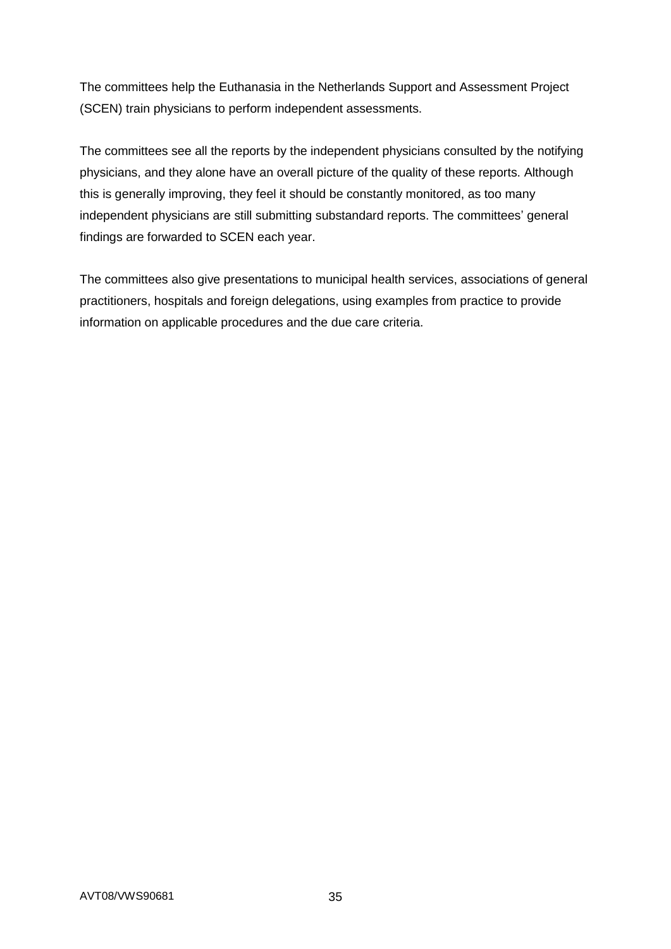The committees help the Euthanasia in the Netherlands Support and Assessment Project (SCEN) train physicians to perform independent assessments.

The committees see all the reports by the independent physicians consulted by the notifying physicians, and they alone have an overall picture of the quality of these reports. Although this is generally improving, they feel it should be constantly monitored, as too many independent physicians are still submitting substandard reports. The committees' general findings are forwarded to SCEN each year.

The committees also give presentations to municipal health services, associations of general practitioners, hospitals and foreign delegations, using examples from practice to provide information on applicable procedures and the due care criteria.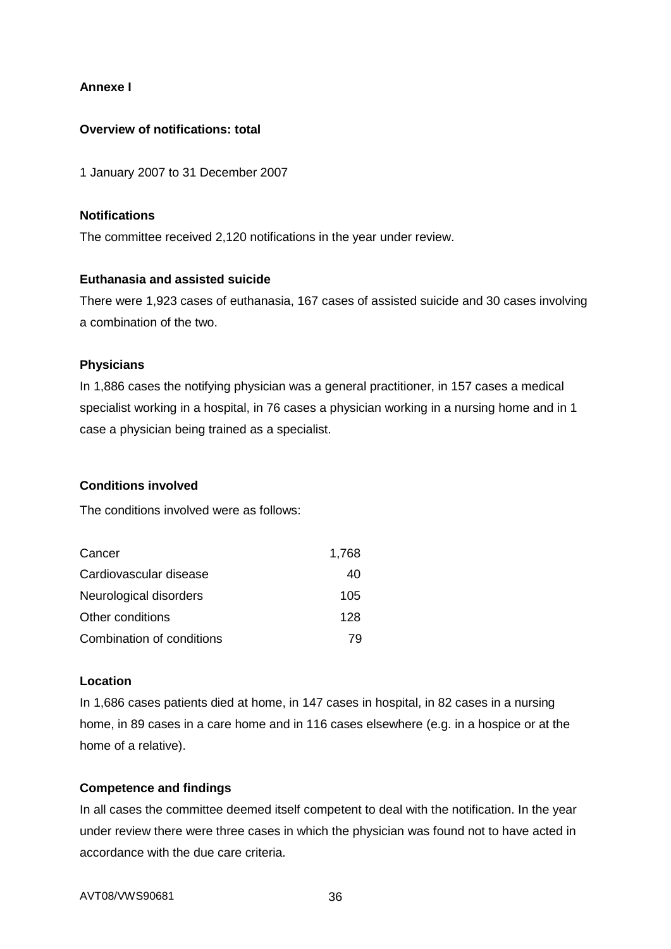## **Annexe I**

#### **Overview of notifications: total**

1 January 2007 to 31 December 2007

## **Notifications**

The committee received 2,120 notifications in the year under review.

## **Euthanasia and assisted suicide**

There were 1,923 cases of euthanasia, 167 cases of assisted suicide and 30 cases involving a combination of the two.

## **Physicians**

In 1,886 cases the notifying physician was a general practitioner, in 157 cases a medical specialist working in a hospital, in 76 cases a physician working in a nursing home and in 1 case a physician being trained as a specialist.

#### **Conditions involved**

The conditions involved were as follows:

| Cancer                    | 1,768 |
|---------------------------|-------|
| Cardiovascular disease    | 40    |
| Neurological disorders    | 105   |
| Other conditions          | 128   |
| Combination of conditions | 79    |

## **Location**

In 1,686 cases patients died at home, in 147 cases in hospital, in 82 cases in a nursing home, in 89 cases in a care home and in 116 cases elsewhere (e.g. in a hospice or at the home of a relative).

#### **Competence and findings**

In all cases the committee deemed itself competent to deal with the notification. In the year under review there were three cases in which the physician was found not to have acted in accordance with the due care criteria.